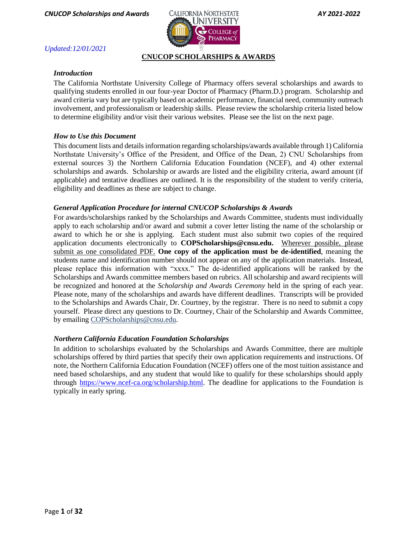

# *Updated:12/01/2021*

# **CNUCOP SCHOLARSHIPS & AWARDS**

# *Introduction*

The California Northstate University College of Pharmacy offers several scholarships and awards to qualifying students enrolled in our four-year Doctor of Pharmacy (Pharm.D.) program. Scholarship and award criteria vary but are typically based on academic performance, financial need, community outreach involvement, and professionalism or leadership skills. Please review the scholarship criteria listed below to determine eligibility and/or visit their various websites. Please see the list on the next page.

## *How to Use this Document*

This document lists and details information regarding scholarships/awards available through 1) California Northstate University's Office of the President, and Office of the Dean, 2) CNU Scholarships from external sources 3) the Northern California Education Foundation (NCEF), and 4) other external scholarships and awards. Scholarship or awards are listed and the eligibility criteria, award amount (if applicable) and tentative deadlines are outlined. It is the responsibility of the student to verify criteria, eligibility and deadlines as these are subject to change.

# *General Application Procedure for internal CNUCOP Scholarships & Awards*

For awards/scholarships ranked by the Scholarships and Awards Committee, students must individually apply to each scholarship and/or award and submit a cover letter listing the name of the scholarship or award to which he or she is applying. Each student must also submit two copies of the required application documents electronically [to](mailto:COPScholarships@cnsu.edu) **[COPScholarships@cnsu.ed](mailto:COPScholarships@cnsu.edu)u.** Wherever possible, please submit as one consolidated PDF. **One copy of the application must be de-identified**, meaning the students name and identification number should not appear on any of the application materials. Instead, please replace this information with "xxxx." The de-identified applications will be ranked by the Scholarships and Awards committee members based on rubrics. All scholarship and award recipients will be recognized and honored at the *Scholarship and Awards Ceremony* held in the spring of each year. Please note, many of the scholarships and awards have different deadlines. Transcripts will be provided to the Scholarships and Awards Chair, Dr. Courtney, by the registrar. There is no need to submit a copy yourself. Please direct any questions to Dr. Courtney, Chair of the Scholarship and Awards Committee, by emailin[g](mailto:COPScholarships@cnsu.edu) [COPScholarships@cnsu.edu](mailto:COPScholarships@cnsu.edu).

## *Northern California Education Foundation Scholarships*

In addition to scholarships evaluated by the Scholarships and Awards Committee, there are multiple scholarships offered by third parties that specify their own application requirements and instructions. Of note, the Northern California Education Foundation (NCEF) offers one of the most tuition assistance and need based scholarships, and any student that would like to qualify for these scholarships should apply through [https://www.ncef-ca.org/scholarship.html.](https://www.ncef-ca.org/scholarship.html) The deadline for applications to the Foundation is typically in early spring.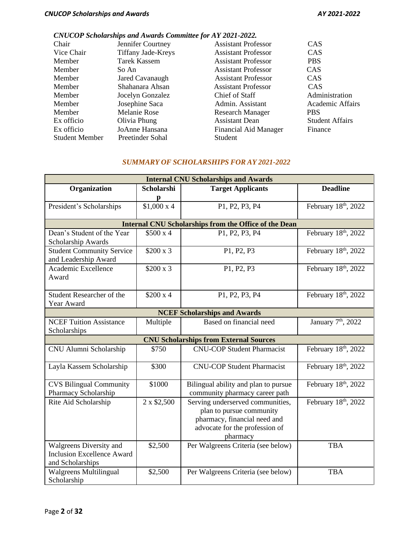# *CNUCOP Scholarships and Awards Committee for AY 2021-2022.*

| Chair                 | Jennifer Courtney         | <b>Assistant Professor</b> | <b>CAS</b>             |
|-----------------------|---------------------------|----------------------------|------------------------|
| Vice Chair            | <b>Tiffany Jade-Kreys</b> | <b>Assistant Professor</b> | <b>CAS</b>             |
| Member                | Tarek Kassem              | <b>Assistant Professor</b> | <b>PBS</b>             |
| Member                | So An                     | <b>Assistant Professor</b> | <b>CAS</b>             |
| Member                | Jared Cavanaugh           | <b>Assistant Professor</b> | <b>CAS</b>             |
| Member                | Shahanara Ahsan           | <b>Assistant Professor</b> | <b>CAS</b>             |
| Member                | Jocelyn Gonzalez          | Chief of Staff             | Administration         |
| Member                | Josephine Saca            | Admin. Assistant           | Academic Affairs       |
| Member                | Melanie Rose              | <b>Research Manager</b>    | <b>PBS</b>             |
| Ex officio            | Olivia Phung              | <b>Assistant Dean</b>      | <b>Student Affairs</b> |
| Ex officio            | JoAnne Hansana            | Financial Aid Manager      | Finance                |
| <b>Student Member</b> | Preetinder Sohal          | Student                    |                        |
|                       |                           |                            |                        |

## *SUMMARY OF SCHOLARSHIPS FOR AY 2021-2022*

| <b>Internal CNU Scholarships and Awards</b>                                      |                   |                                                                                                                                            |                                |
|----------------------------------------------------------------------------------|-------------------|--------------------------------------------------------------------------------------------------------------------------------------------|--------------------------------|
| Organization                                                                     | <b>Scholarshi</b> | <b>Target Applicants</b>                                                                                                                   | <b>Deadline</b>                |
|                                                                                  | p                 |                                                                                                                                            |                                |
| President's Scholarships                                                         | $$1,000 \times 4$ | P1, P2, P3, P4                                                                                                                             | February 18th, 2022            |
|                                                                                  |                   | <b>Internal CNU Scholarships from the Office of the Dean</b>                                                                               |                                |
| Dean's Student of the Year<br>Scholarship Awards                                 | \$500x4           | P1, P2, P3, P4                                                                                                                             | February 18th, 2022            |
| <b>Student Community Service</b><br>and Leadership Award                         | $$200 \times 3$   | P1, P2, P3                                                                                                                                 | February 18th, 2022            |
| Academic Excellence<br>Award                                                     | $$200 \times 3$   | P1, P2, P3                                                                                                                                 | February 18th, 2022            |
| Student Researcher of the<br>Year Award                                          | \$200 x 4         | P1, P2, P3, P4                                                                                                                             | February 18th, 2022            |
| <b>NCEF Scholarships and Awards</b>                                              |                   |                                                                                                                                            |                                |
| <b>NCEF Tuition Assistance</b><br>Scholarships                                   | Multiple          | Based on financial need                                                                                                                    | January 7 <sup>th</sup> , 2022 |
| <b>CNU Scholarships from External Sources</b>                                    |                   |                                                                                                                                            |                                |
| CNU Alumni Scholarship                                                           | \$750             | <b>CNU-COP Student Pharmacist</b>                                                                                                          | February 18th, 2022            |
| Layla Kassem Scholarship                                                         | \$300             | <b>CNU-COP Student Pharmacist</b>                                                                                                          | February 18th, 2022            |
| <b>CVS Bilingual Community</b><br>Pharmacy Scholarship                           | \$1000            | Bilingual ability and plan to pursue<br>community pharmacy career path                                                                     | February 18th, 2022            |
| Rite Aid Scholarship                                                             | 2 x \$2,500       | Serving underserved communities,<br>plan to pursue community<br>pharmacy, financial need and<br>advocate for the profession of<br>pharmacy | February 18th, 2022            |
| Walgreens Diversity and<br><b>Inclusion Excellence Award</b><br>and Scholarships | \$2,500           | Per Walgreens Criteria (see below)                                                                                                         | <b>TBA</b>                     |
| <b>Walgreens Multilingual</b><br>Scholarship                                     | \$2,500           | Per Walgreens Criteria (see below)                                                                                                         | <b>TBA</b>                     |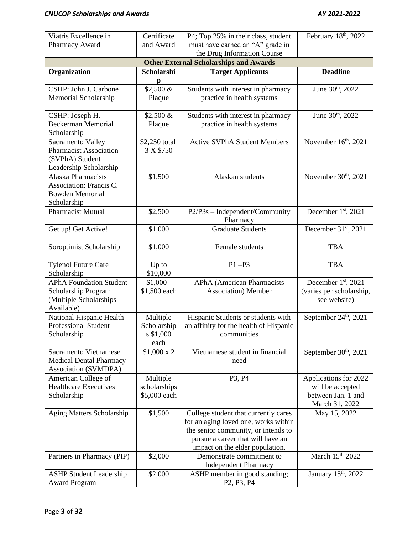| Viatris Excellence in                                                                           | Certificate                                    | P4; Top 25% in their class, student                                                                                                                                                         | February 18th, 2022                                             |
|-------------------------------------------------------------------------------------------------|------------------------------------------------|---------------------------------------------------------------------------------------------------------------------------------------------------------------------------------------------|-----------------------------------------------------------------|
| Pharmacy Award                                                                                  | and Award                                      | must have earned an "A" grade in<br>the Drug Information Course                                                                                                                             |                                                                 |
| <b>Other External Scholarships and Awards</b>                                                   |                                                |                                                                                                                                                                                             |                                                                 |
| Organization                                                                                    | Scholarshi<br>$\mathbf{p}$                     | <b>Target Applicants</b>                                                                                                                                                                    | <b>Deadline</b>                                                 |
| CSHP: John J. Carbone<br>Memorial Scholarship                                                   | \$2,500 &<br>Plaque                            | Students with interest in pharmacy<br>practice in health systems                                                                                                                            | June 30th, 2022                                                 |
| CSHP: Joseph H.<br><b>Beckerman Memorial</b><br>Scholarship                                     | \$2,500 &<br>Plaque                            | Students with interest in pharmacy<br>practice in health systems                                                                                                                            | June 30th, 2022                                                 |
| Sacramento Valley<br><b>Pharmacist Association</b><br>(SVPhA) Student<br>Leadership Scholarship | \$2,250 total<br>3 X \$750                     | <b>Active SVPhA Student Members</b>                                                                                                                                                         | November 16th, 2021                                             |
| <b>Alaska Pharmacists</b><br>Association: Francis C.<br><b>Bowden Memorial</b><br>Scholarship   | \$1,500                                        | Alaskan students                                                                                                                                                                            | November 30th, 2021                                             |
| Pharmacist Mutual                                                                               | \$2,500                                        | P2/P3s - Independent/Community<br>Pharmacy                                                                                                                                                  | December 1st, 2021                                              |
| Get up! Get Active!                                                                             | \$1,000                                        | <b>Graduate Students</b>                                                                                                                                                                    | December 31st, 2021                                             |
| Soroptimist Scholarship                                                                         | \$1,000                                        | Female students                                                                                                                                                                             | <b>TBA</b>                                                      |
| <b>Tylenol Future Care</b><br>Scholarship                                                       | Up to<br>\$10,000                              | $P1 - P3$                                                                                                                                                                                   | <b>TBA</b>                                                      |
| <b>APhA Foundation Student</b><br>Scholarship Program<br>(Multiple Scholarships<br>Available)   | $$1,000 -$<br>\$1,500 each                     | <b>APhA</b> (American Pharmacists<br><b>Association</b> ) Member                                                                                                                            | December 1st, 2021<br>(varies per scholarship,<br>see website)  |
| National Hispanic Health<br><b>Professional Student</b><br>Scholarship                          | Multiple<br>Scholarship<br>$s$ \$1,000<br>each | Hispanic Students or students with<br>an affinity for the health of Hispanic<br>communities                                                                                                 | September 24 <sup>th</sup> , 2021                               |
| <b>Sacramento Vietnamese</b><br><b>Medical Dental Pharmacy</b><br>Association (SVMDPA)          | $$1,000 \times 2$                              | Vietnamese student in financial<br>need                                                                                                                                                     | September 30th, 2021                                            |
| American College of<br><b>Healthcare Executives</b><br>Scholarship                              | Multiple<br>scholarships<br>\$5,000 each       | P3, P4                                                                                                                                                                                      | Applications for 2022<br>will be accepted<br>between Jan. 1 and |
|                                                                                                 |                                                |                                                                                                                                                                                             | March 31, 2022                                                  |
| Aging Matters Scholarship                                                                       | \$1,500                                        | College student that currently cares<br>for an aging loved one, works within<br>the senior community, or intends to<br>pursue a career that will have an<br>impact on the elder population. | May 15, 2022                                                    |
| Partners in Pharmacy (PIP)<br><b>ASHP Student Leadership</b>                                    | \$2,000<br>\$2,000                             | Demonstrate commitment to<br><b>Independent Pharmacy</b><br>ASHP member in good standing;                                                                                                   | March 15th, 2022<br>January 15 <sup>th</sup> , 2022             |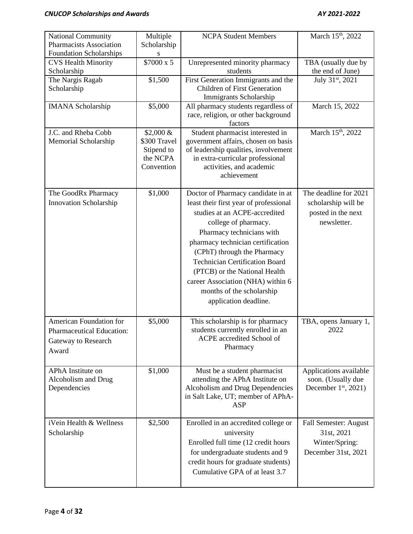| <b>National Community</b><br><b>Pharmacists Association</b>                          | Multiple<br>Scholarship                                             | <b>NCPA Student Members</b>                                                                                                                                                                                                                                                                                                                                                                                 | March 15 <sup>th</sup> , 2022                                                     |
|--------------------------------------------------------------------------------------|---------------------------------------------------------------------|-------------------------------------------------------------------------------------------------------------------------------------------------------------------------------------------------------------------------------------------------------------------------------------------------------------------------------------------------------------------------------------------------------------|-----------------------------------------------------------------------------------|
| Foundation Scholarships<br><b>CVS Health Minority</b><br>Scholarship                 | \$7000 x 5                                                          | Unrepresented minority pharmacy<br>students                                                                                                                                                                                                                                                                                                                                                                 | TBA (usually due by<br>the end of June)                                           |
| The Nargis Ragab<br>Scholarship                                                      | \$1,500                                                             | First Generation Immigrants and the<br><b>Children of First Generation</b><br>Immigrants Scholarship                                                                                                                                                                                                                                                                                                        | July 31st, 2021                                                                   |
| <b>IMANA</b> Scholarship                                                             | \$5,000                                                             | All pharmacy students regardless of<br>race, religion, or other background<br>factors                                                                                                                                                                                                                                                                                                                       | March 15, 2022                                                                    |
| J.C. and Rheba Cobb<br>Memorial Scholarship                                          | $$2,000 \&$<br>\$300 Travel<br>Stipend to<br>the NCPA<br>Convention | Student pharmacist interested in<br>government affairs, chosen on basis<br>of leadership qualities, involvement<br>in extra-curricular professional<br>activities, and academic<br>achievement                                                                                                                                                                                                              | March 15th, 2022                                                                  |
| The GoodRx Pharmacy<br><b>Innovation Scholarship</b>                                 | \$1,000                                                             | Doctor of Pharmacy candidate in at<br>least their first year of professional<br>studies at an ACPE-accredited<br>college of pharmacy.<br>Pharmacy technicians with<br>pharmacy technician certification<br>(CPhT) through the Pharmacy<br><b>Technician Certification Board</b><br>(PTCB) or the National Health<br>career Association (NHA) within 6<br>months of the scholarship<br>application deadline. | The deadline for 2021<br>scholarship will be<br>posted in the next<br>newsletter. |
| American Foundation for<br>Pharmaceutical Education:<br>Gateway to Research<br>Award | \$5,000                                                             | This scholarship is for pharmacy<br>students currently enrolled in an<br>ACPE accredited School of<br>Pharmacy                                                                                                                                                                                                                                                                                              | TBA, opens January 1,<br>2022                                                     |
| APhA Institute on<br>Alcoholism and Drug<br>Dependencies                             | \$1,000                                                             | Must be a student pharmacist<br>attending the APhA Institute on<br>Alcoholism and Drug Dependencies<br>in Salt Lake, UT; member of APhA-<br><b>ASP</b>                                                                                                                                                                                                                                                      | Applications available<br>soon. (Usually due<br>December $1st$ , 2021)            |
| iVein Health & Wellness<br>Scholarship                                               | \$2,500                                                             | Enrolled in an accredited college or<br>university<br>Enrolled full time (12 credit hours<br>for undergraduate students and 9<br>credit hours for graduate students)<br>Cumulative GPA of at least 3.7                                                                                                                                                                                                      | Fall Semester: August<br>31st, 2021<br>Winter/Spring:<br>December 31st, 2021      |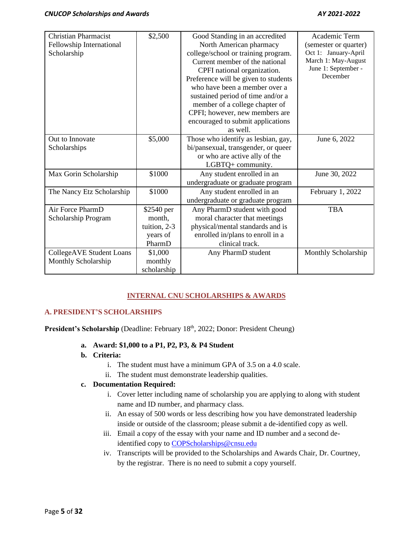| <b>Christian Pharmacist</b>     | \$2,500      | Good Standing in an accredited       | Academic Term         |
|---------------------------------|--------------|--------------------------------------|-----------------------|
| Fellowship International        |              | North American pharmacy              | (semester or quarter) |
| Scholarship                     |              | college/school or training program.  | Oct 1: January-April  |
|                                 |              | Current member of the national       | March 1: May-August   |
|                                 |              | CPFI national organization.          | June 1: September -   |
|                                 |              | Preference will be given to students | December              |
|                                 |              | who have been a member over a        |                       |
|                                 |              | sustained period of time and/or a    |                       |
|                                 |              | member of a college chapter of       |                       |
|                                 |              | CPFI; however, new members are       |                       |
|                                 |              | encouraged to submit applications    |                       |
|                                 |              | as well.                             |                       |
| Out to Innovate                 | \$5,000      | Those who identify as lesbian, gay,  | June 6, 2022          |
| Scholarships                    |              | bi/pansexual, transgender, or queer  |                       |
|                                 |              | or who are active ally of the        |                       |
|                                 |              | LGBTQ+ community.                    |                       |
| Max Gorin Scholarship           | \$1000       | Any student enrolled in an           | June 30, 2022         |
|                                 |              | undergraduate or graduate program    |                       |
| The Nancy Etz Scholarship       | \$1000       | Any student enrolled in an           | February 1, 2022      |
|                                 |              | undergraduate or graduate program    |                       |
| Air Force PharmD                | \$2540 per   | Any PharmD student with good         | <b>TBA</b>            |
| Scholarship Program             | month,       | moral character that meetings        |                       |
|                                 | tuition, 2-3 | physical/mental standards and is     |                       |
|                                 | years of     | enrolled in/plans to enroll in a     |                       |
|                                 | PharmD       | clinical track.                      |                       |
| <b>CollegeAVE Student Loans</b> | \$1,000      | Any PharmD student                   | Monthly Scholarship   |
| Monthly Scholarship             | monthly      |                                      |                       |
|                                 | scholarship  |                                      |                       |

# **INTERNAL CNU SCHOLARSHIPS & AWARDS**

# **A. PRESIDENT'S SCHOLARSHIPS**

President's Scholarship (Deadline: February 18<sup>th</sup>, 2022; Donor: President Cheung)

- **a. Award: \$1,000 to a P1, P2, P3, & P4 Student**
- **b. Criteria:**
	- i. The student must have a minimum GPA of 3.5 on a 4.0 scale.
	- ii. The student must demonstrate leadership qualities.

## **c. Documentation Required:**

- i. Cover letter including name of scholarship you are applying to along with student name and ID number, and pharmacy class.
- ii. An essay of 500 words or less describing how you have demonstrated leadership inside or outside of the classroom; please submit a de-identified copy as well.
- iii. Email a copy of the essay with your name and ID number and a second deidentified copy to **COPScholarships@cnsu.edu**
- iv. Transcripts will be provided to the Scholarships and Awards Chair, Dr. Courtney, by the registrar. There is no need to submit a copy yourself.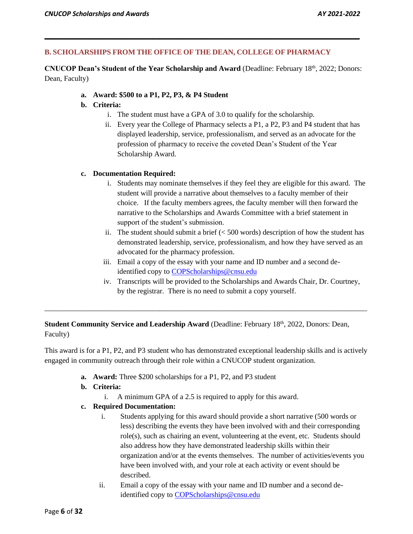# **B. SCHOLARSHIPS FROM THE OFFICE OF THE DEAN, COLLEGE OF PHARMACY**

**CNUCOP Dean's Student of the Year Scholarship and Award** (Deadline: February 18th, 2022; Donors: Dean, Faculty)

**\_\_\_\_\_\_\_\_\_\_\_\_\_\_\_\_\_\_\_\_\_\_\_\_\_\_\_\_\_\_\_\_\_\_\_\_\_\_\_\_\_\_\_\_\_\_\_\_\_\_\_\_\_\_\_\_\_\_\_\_\_\_\_\_\_\_\_\_\_\_\_\_\_\_\_\_\_\_\_\_\_\_\_\_\_**

**a. Award: \$500 to a P1, P2, P3, & P4 Student**

# **b. Criteria:**

- i. The student must have a GPA of 3.0 to qualify for the scholarship.
- ii. Every year the College of Pharmacy selects a P1, a P2, P3 and P4 student that has displayed leadership, service, professionalism, and served as an advocate for the profession of pharmacy to receive the coveted Dean's Student of the Year Scholarship Award.

# **c. Documentation Required:**

- i. Students may nominate themselves if they feel they are eligible for this award. The student will provide a narrative about themselves to a faculty member of their choice. If the faculty members agrees, the faculty member will then forward the narrative to the Scholarships and Awards Committee with a brief statement in support of the student's submission.
- ii. The student should submit a brief  $( $500$  words) description of how the student has$ demonstrated leadership, service, professionalism, and how they have served as an advocated for the pharmacy profession.
- iii. Email a copy of the essay with your name and ID number and a second deidentified copy to [COPScholarships@cnsu.edu](mailto:COPScholarships@cnsu.edu)
- iv. Transcripts will be provided to the Scholarships and Awards Chair, Dr. Courtney, by the registrar. There is no need to submit a copy yourself.

# **Student Community Service and Leadership Award (Deadline: February 18th, 2022, Donors: Dean,** Faculty)

This award is for a P1, P2, and P3 student who has demonstrated exceptional leadership skills and is actively engaged in community outreach through their role within a CNUCOP student organization.

\_\_\_\_\_\_\_\_\_\_\_\_\_\_\_\_\_\_\_\_\_\_\_\_\_\_\_\_\_\_\_\_\_\_\_\_\_\_\_\_\_\_\_\_\_\_\_\_\_\_\_\_\_\_\_\_\_\_\_\_\_\_\_\_\_\_\_\_\_\_\_\_\_\_\_\_\_\_\_\_\_\_\_\_\_\_\_

- **a. Award:** Three \$200 scholarships for a P1, P2, and P3 student
- **b. Criteria:**
	- i. A minimum GPA of a 2.5 is required to apply for this award.
- **c. Required Documentation:**
	- i. Students applying for this award should provide a short narrative (500 words or less) describing the events they have been involved with and their corresponding role(s), such as chairing an event, volunteering at the event, etc. Students should also address how they have demonstrated leadership skills within their organization and/or at the events themselves. The number of activities/events you have been involved with, and your role at each activity or event should be described.
	- ii. Email a copy of the essay with your name and ID number and a second deidentified copy to [COPScholarships@cnsu.edu](mailto:COPScholarships@cnsu.edu)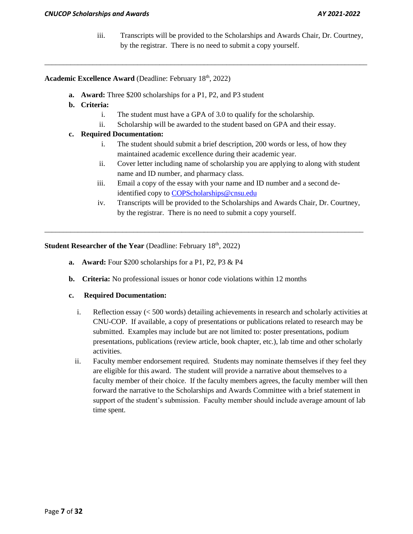iii. Transcripts will be provided to the Scholarships and Awards Chair, Dr. Courtney, by the registrar. There is no need to submit a copy yourself.

# **Academic Excellence Award (Deadline: February 18th, 2022)**

- **a. Award:** Three \$200 scholarships for a P1, P2, and P3 student
- **b. Criteria:** 
	- i. The student must have a GPA of 3.0 to qualify for the scholarship.

\_\_\_\_\_\_\_\_\_\_\_\_\_\_\_\_\_\_\_\_\_\_\_\_\_\_\_\_\_\_\_\_\_\_\_\_\_\_\_\_\_\_\_\_\_\_\_\_\_\_\_\_\_\_\_\_\_\_\_\_\_\_\_\_\_\_\_\_\_\_\_\_\_\_\_\_\_\_\_\_\_\_\_\_\_\_\_

ii. Scholarship will be awarded to the student based on GPA and their essay.

# **c. Required Documentation:**

- i. The student should submit a brief description, 200 words or less, of how they maintained academic excellence during their academic year.
- ii. Cover letter including name of scholarship you are applying to along with student name and ID number, and pharmacy class.
- iii. Email a copy of the essay with your name and ID number and a second deidentified copy to [COPScholarships@cnsu.edu](mailto:COPScholarships@cnsu.edu)

\_\_\_\_\_\_\_\_\_\_\_\_\_\_\_\_\_\_\_\_\_\_\_\_\_\_\_\_\_\_\_\_\_\_\_\_\_\_\_\_\_\_\_\_\_\_\_\_\_\_\_\_\_\_\_\_\_\_\_\_\_\_\_\_\_\_\_\_\_\_\_\_\_\_\_\_\_\_\_\_\_\_\_\_\_\_

iv. Transcripts will be provided to the Scholarships and Awards Chair, Dr. Courtney, by the registrar. There is no need to submit a copy yourself.

**Student Researcher of the Year (Deadline: February 18th, 2022)** 

- **a. Award:** Four \$200 scholarships for a P1, P2, P3 & P4
- **b. Criteria:** No professional issues or honor code violations within 12 months

## **c. Required Documentation:**

- i. Reflection essay (< 500 words) detailing achievements in research and scholarly activities at CNU-COP. If available, a copy of presentations or publications related to research may be submitted. Examples may include but are not limited to: poster presentations, podium presentations, publications (review article, book chapter, etc.), lab time and other scholarly activities.
- ii. Faculty member endorsement required. Students may nominate themselves if they feel they are eligible for this award. The student will provide a narrative about themselves to a faculty member of their choice. If the faculty members agrees, the faculty member will then forward the narrative to the Scholarships and Awards Committee with a brief statement in support of the student's submission. Faculty member should include average amount of lab time spent.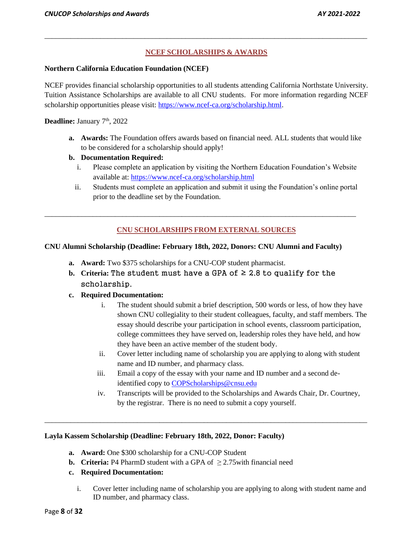# **NCEF SCHOLARSHIPS & AWARDS**

\_\_\_\_\_\_\_\_\_\_\_\_\_\_\_\_\_\_\_\_\_\_\_\_\_\_\_\_\_\_\_\_\_\_\_\_\_\_\_\_\_\_\_\_\_\_\_\_\_\_\_\_\_\_\_\_\_\_\_\_\_\_\_\_\_\_\_\_\_\_\_\_\_\_\_\_\_\_\_\_\_\_\_\_\_\_\_

#### **Northern California Education Foundation (NCEF)**

NCEF provides financial scholarship opportunities to all students attending California Northstate University. Tuition Assistance Scholarships are available to all CNU students. For more information regarding NCEF scholarship opportunities please visit: [https://www.ncef-ca.org/scholarship.html.](https://www.ncef-ca.org/scholarship.html)

**Deadline:** January 7<sup>th</sup>, 2022

**a. Awards:** The Foundation offers awards based on financial need. ALL students that would like to be considered for a scholarship should apply!

# **b. Documentation Required:**

- i. Please complete an application by visiting the Northern Education Foundation's Website available at:<https://www.ncef-ca.org/scholarship.html>
- ii. Students must complete an application and submit it using the Foundation's online portal prior to the deadline set by the Foundation.

# **CNU SCHOLARSHIPS FROM EXTERNAL SOURCES**

\_\_\_\_\_\_\_\_\_\_\_\_\_\_\_\_\_\_\_\_\_\_\_\_\_\_\_\_\_\_\_\_\_\_\_\_\_\_\_\_\_\_\_\_\_\_\_\_\_\_\_\_\_\_\_\_\_\_\_\_\_\_\_\_\_\_\_\_\_\_\_\_\_\_\_\_\_\_\_\_\_\_\_\_

## **CNU Alumni Scholarship (Deadline: February 18th, 2022, Donors: CNU Alumni and Faculty)**

- **a. Award:** Two \$375 scholarships for a CNU-COP student pharmacist.
- **b.** Criteria: The student must have a GPA of  $≥$  2.8 to qualify for the scholarship.

## **c. Required Documentation:**

- i. The student should submit a brief description, 500 words or less, of how they have shown CNU collegiality to their student colleagues, faculty, and staff members. The essay should describe your participation in school events, classroom participation, college committees they have served on, leadership roles they have held, and how they have been an active member of the student body.
- ii. Cover letter including name of scholarship you are applying to along with student name and ID number, and pharmacy class.
- iii. Email a copy of the essay with your name and ID number and a second deidentified copy to [COPScholarships@cnsu.edu](mailto:COPScholarships@cnsu.edu)

\_\_\_\_\_\_\_\_\_\_\_\_\_\_\_\_\_\_\_\_\_\_\_\_\_\_\_\_\_\_\_\_\_\_\_\_\_\_\_\_\_\_\_\_\_\_\_\_\_\_\_\_\_\_\_\_\_\_\_\_\_\_\_\_\_\_\_\_\_\_\_\_\_\_\_\_\_\_\_\_\_\_\_\_\_\_\_

iv. Transcripts will be provided to the Scholarships and Awards Chair, Dr. Courtney, by the registrar. There is no need to submit a copy yourself.

## **Layla Kassem Scholarship (Deadline: February 18th, 2022, Donor: Faculty)**

- **a. Award:** One \$300 scholarship for a CNU-COP Student
- **b. Criteria:** P4 PharmD student with a GPA of  $\geq$  2.75 with financial need

# **c. Required Documentation:**

i. Cover letter including name of scholarship you are applying to along with student name and ID number, and pharmacy class.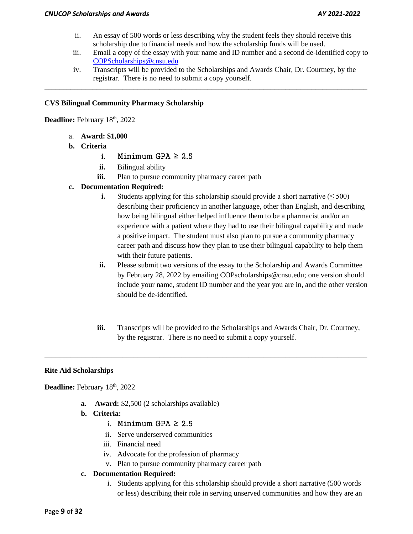- ii. An essay of 500 words or less describing why the student feels they should receive this scholarship due to financial needs and how the scholarship funds will be used.
- iii. Email a copy of the essay with your name and ID number and a second de-identified copy to [COPScholarships@cnsu.edu](mailto:COPScholarships@cnsu.edu)
- iv. Transcripts will be provided to the Scholarships and Awards Chair, Dr. Courtney, by the registrar. There is no need to submit a copy yourself.

\_\_\_\_\_\_\_\_\_\_\_\_\_\_\_\_\_\_\_\_\_\_\_\_\_\_\_\_\_\_\_\_\_\_\_\_\_\_\_\_\_\_\_\_\_\_\_\_\_\_\_\_\_\_\_\_\_\_\_\_\_\_\_\_\_\_\_\_\_\_\_\_\_\_\_\_\_\_\_\_\_\_\_\_\_\_\_

## **CVS Bilingual Community Pharmacy Scholarship**

Deadline: February 18<sup>th</sup>, 2022

- a. **Award: \$1,000**
- **b. Criteria**
	- **i.** Minimum GPA  $\geq 2.5$
	- **ii.** Bilingual ability
	- iii. Plan to pursue community pharmacy career path

# **c. Documentation Required:**

- **i.** Students applying for this scholarship should provide a short narrative  $(\leq 500)$ describing their proficiency in another language, other than English, and describing how being bilingual either helped influence them to be a pharmacist and/or an experience with a patient where they had to use their bilingual capability and made a positive impact. The student must also plan to pursue a community pharmacy career path and discuss how they plan to use their bilingual capability to help them with their future patients.
- **ii.** Please submit two versions of the essay to the Scholarship and Awards Committee by February 28, 2022 by emailing COPscholarships@cnsu.edu; one version should include your name, student ID number and the year you are in, and the other version should be de-identified.
- **iii.** Transcripts will be provided to the Scholarships and Awards Chair, Dr. Courtney, by the registrar. There is no need to submit a copy yourself.

\_\_\_\_\_\_\_\_\_\_\_\_\_\_\_\_\_\_\_\_\_\_\_\_\_\_\_\_\_\_\_\_\_\_\_\_\_\_\_\_\_\_\_\_\_\_\_\_\_\_\_\_\_\_\_\_\_\_\_\_\_\_\_\_\_\_\_\_\_\_\_\_\_\_\_\_\_\_\_\_\_\_\_\_\_\_\_

## **Rite Aid Scholarships**

Deadline: February 18<sup>th</sup>, 2022

- **a. Award:** \$2,500 (2 scholarships available)
- **b. Criteria:**
	- i. Minimum GPA  $\geq 2.5$
	- ii. Serve underserved communities
	- iii. Financial need
	- iv. Advocate for the profession of pharmacy
	- v. Plan to pursue community pharmacy career path

## **c. Documentation Required:**

i. Students applying for this scholarship should provide a short narrative (500 words or less) describing their role in serving unserved communities and how they are an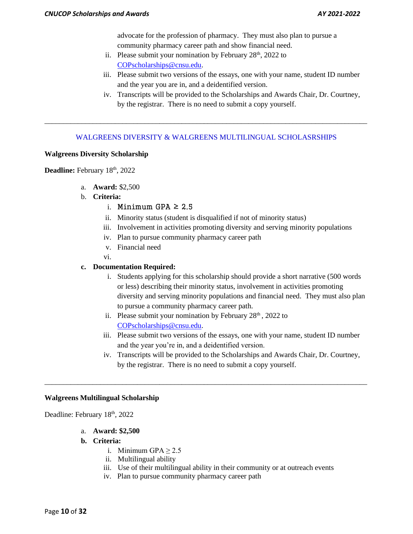advocate for the profession of pharmacy. They must also plan to pursue a community pharmacy career path and show financial need.

- ii. Please submit your nomination by February  $28<sup>th</sup>$ ,  $2022$  to [COPscholarships@cnsu.edu.](mailto:COPscholarships@cnsu.edu)
- iii. Please submit two versions of the essays, one with your name, student ID number and the year you are in, and a deidentified version.
- iv. Transcripts will be provided to the Scholarships and Awards Chair, Dr. Courtney, by the registrar. There is no need to submit a copy yourself.

# WALGREENS DIVERSITY & WALGREENS MULTILINGUAL SCHOLASRSHIPS

\_\_\_\_\_\_\_\_\_\_\_\_\_\_\_\_\_\_\_\_\_\_\_\_\_\_\_\_\_\_\_\_\_\_\_\_\_\_\_\_\_\_\_\_\_\_\_\_\_\_\_\_\_\_\_\_\_\_\_\_\_\_\_\_\_\_\_\_\_\_\_\_\_\_\_\_\_\_\_\_\_\_\_\_\_\_\_

#### **Walgreens Diversity Scholarship**

Deadline: February 18<sup>th</sup>, 2022

- a. **Award:** \$2,500
- b. **Criteria:**
	- i. Minimum GPA  $\geq 2.5$
	- ii. Minority status (student is disqualified if not of minority status)
	- iii. Involvement in activities promoting diversity and serving minority populations
	- iv. Plan to pursue community pharmacy career path
	- v. Financial need
	- vi.

#### **c. Documentation Required:**

- i. Students applying for this scholarship should provide a short narrative (500 words or less) describing their minority status, involvement in activities promoting diversity and serving minority populations and financial need. They must also plan to pursue a community pharmacy career path.
- ii. Please submit your nomination by February  $28<sup>th</sup>$ ,  $2022$  to [COPscholarships@cnsu.edu.](mailto:COPscholarships@cnsu.edu)

\_\_\_\_\_\_\_\_\_\_\_\_\_\_\_\_\_\_\_\_\_\_\_\_\_\_\_\_\_\_\_\_\_\_\_\_\_\_\_\_\_\_\_\_\_\_\_\_\_\_\_\_\_\_\_\_\_\_\_\_\_\_\_\_\_\_\_\_\_\_\_\_\_\_\_\_\_\_\_\_\_\_\_\_\_\_\_

- iii. Please submit two versions of the essays, one with your name, student ID number and the year you're in, and a deidentified version.
- iv. Transcripts will be provided to the Scholarships and Awards Chair, Dr. Courtney, by the registrar. There is no need to submit a copy yourself.

#### **Walgreens Multilingual Scholarship**

Deadline: February 18<sup>th</sup>, 2022

- a. **Award: \$2,500**
- **b. Criteria:**
	- i. Minimum GPA  $> 2.5$
	- ii. Multilingual ability
	- iii. Use of their multilingual ability in their community or at outreach events
	- iv. Plan to pursue community pharmacy career path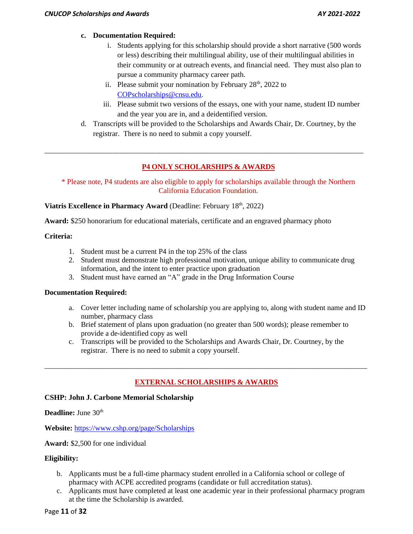# **c. Documentation Required:**

- i. Students applying for this scholarship should provide a short narrative (500 words or less) describing their multilingual ability, use of their multilingual abilities in their community or at outreach events, and financial need. They must also plan to pursue a community pharmacy career path.
- ii. Please submit your nomination by February  $28<sup>th</sup>$ ,  $2022$  to [COPscholarships@cnsu.edu.](mailto:COPscholarships@cnsu.edu)
- iii. Please submit two versions of the essays, one with your name, student ID number and the year you are in, and a deidentified version.
- d. Transcripts will be provided to the Scholarships and Awards Chair, Dr. Courtney, by the registrar. There is no need to submit a copy yourself.

# **P4 ONLY SCHOLARSHIPS & AWARDS**

\_\_\_\_\_\_\_\_\_\_\_\_\_\_\_\_\_\_\_\_\_\_\_\_\_\_\_\_\_\_\_\_\_\_\_\_\_\_\_\_\_\_\_\_\_\_\_\_\_\_\_\_\_\_\_\_\_\_\_\_\_\_\_\_\_\_\_\_\_\_\_\_\_\_\_\_\_\_\_\_\_\_\_\_\_\_

\* Please note, P4 students are also eligible to apply for scholarships available through the Northern California Education Foundation.

Viatris Excellence in Pharmacy Award (Deadline: February 18<sup>th</sup>, 2022)

**Award:** \$250 honorarium for educational materials, certificate and an engraved pharmacy photo

# **Criteria:**

- 1. Student must be a current P4 in the top 25% of the class
- 2. Student must demonstrate high professional motivation, unique ability to communicate drug information, and the intent to enter practice upon graduation
- 3. Student must have earned an "A" grade in the Drug Information Course

## **Documentation Required:**

- a. Cover letter including name of scholarship you are applying to, along with student name and ID number, pharmacy class
- b. Brief statement of plans upon graduation (no greater than 500 words); please remember to provide a de-identified copy as well
- c. Transcripts will be provided to the Scholarships and Awards Chair, Dr. Courtney, by the registrar. There is no need to submit a copy yourself.

# **EXTERNAL SCHOLARSHIPS & AWARDS**

\_\_\_\_\_\_\_\_\_\_\_\_\_\_\_\_\_\_\_\_\_\_\_\_\_\_\_\_\_\_\_\_\_\_\_\_\_\_\_\_\_\_\_\_\_\_\_\_\_\_\_\_\_\_\_\_\_\_\_\_\_\_\_\_\_\_\_\_\_\_\_\_\_\_\_\_\_\_\_\_\_\_\_\_\_\_\_

## **CSHP: John J. Carbone Memorial Scholarship**

**Deadline:** June 30<sup>th</sup>

**Website:** <https://www.cshp.org/page/Scholarships>

**Award:** \$2,500 for one individual

# **Eligibility:**

- b. Applicants must be a full-time pharmacy student enrolled in a California school or college of pharmacy with ACPE accredited programs (candidate or full accreditation status).
- c. Applicants must have completed at least one academic year in their professional pharmacy program at the time the Scholarship is awarded.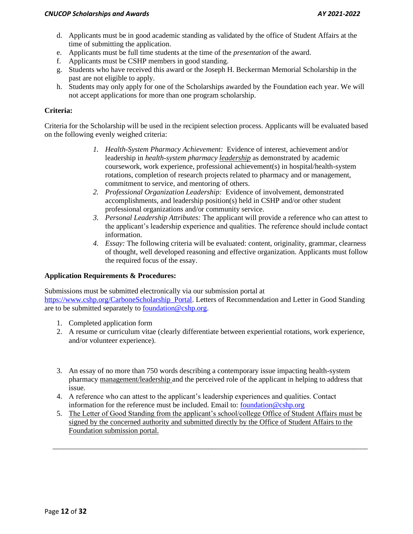- d. Applicants must be in good academic standing as validated by the office of Student Affairs at the time of submitting the application.
- e. Applicants must be full time students at the time of the *presentation* of the award.
- f. Applicants must be CSHP members in good standing.
- g. Students who have received this award or the Joseph H. Beckerman Memorial Scholarship in the past are not eligible to apply.
- h. Students may only apply for one of the Scholarships awarded by the Foundation each year. We will not accept applications for more than one program scholarship.

# **Criteria:**

Criteria for the Scholarship will be used in the recipient selection process. Applicants will be evaluated based on the following evenly weighed criteria:

- *1. Health-System Pharmacy Achievement:* Evidence of interest, achievement and/or leadership in *health-system pharmacy leadership* as demonstrated by academic coursework, work experience, professional achievement(s) in hospital/health-system rotations, completion of research projects related to pharmacy and or management, commitment to service, and mentoring of others.
- *2. Professional Organization Leadership:* Evidence of involvement, demonstrated accomplishments, and leadership position(s) held in CSHP and/or other student professional organizations and/or community service.
- *3. Personal Leadership Attributes:* The applicant will provide a reference who can attest to the applicant's leadership experience and qualities. The reference should include contact information.
- *4. Essay:* The following criteria will be evaluated: content, originality, grammar, clearness of thought, well developed reasoning and effective organization. Applicants must follow the required focus of the essay.

## **Application Requirements & Procedures:**

Submissions must be submitted electronically via our submission portal at [https://www.cshp.org/CarboneScholarship\\_Portal.](https://www.cshp.org/CarboneScholarship_Portal) Letters of Recommendation and Letter in Good Standing are to be submitted separately to [foundation@cshp.org.](mailto:foundation@cshp.org)

- 1. Completed application form
- 2. A resume or curriculum vitae (clearly differentiate between experiential rotations, work experience, and/or volunteer experience).
- 3. An essay of no more than 750 words describing a contemporary issue impacting health-system pharmacy management/leadership and the perceived role of the applicant in helping to address that issue.
- 4. A reference who can attest to the applicant's leadership experiences and qualities. Contact information for the reference must be included. Email to: [foundation@cshp.org](mailto:foundation@cshp.org)
- 5. The Letter of Good Standing from the applicant's school/college Office of Student Affairs must be signed by the concerned authority and submitted directly by the Office of Student Affairs to the Foundation submission portal.

\_\_\_\_\_\_\_\_\_\_\_\_\_\_\_\_\_\_\_\_\_\_\_\_\_\_\_\_\_\_\_\_\_\_\_\_\_\_\_\_\_\_\_\_\_\_\_\_\_\_\_\_\_\_\_\_\_\_\_\_\_\_\_\_\_\_\_\_\_\_\_\_\_\_\_\_\_\_\_\_\_\_\_\_\_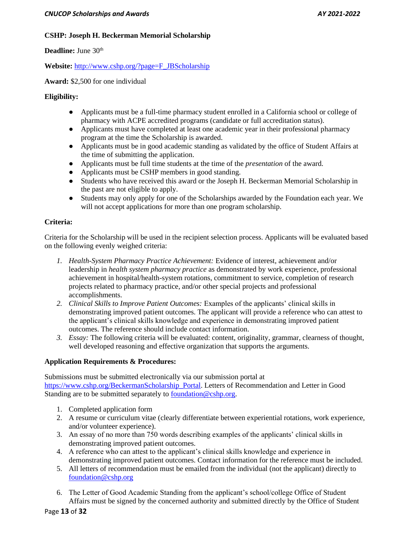# **CSHP: Joseph H. Beckerman Memorial Scholarship**

**Deadline:** June 30<sup>th</sup>

**Website:** [http://www.cshp.org/?page=F\\_JBScholarship](http://www.cshp.org/?page=F_JBScholarship) 

**Award:** \$2,500 for one individual

# **Eligibility:**

- Applicants must be a full-time pharmacy student enrolled in a California school or college of pharmacy with ACPE accredited programs (candidate or full accreditation status).
- Applicants must have completed at least one academic year in their professional pharmacy program at the time the Scholarship is awarded.
- Applicants must be in good academic standing as validated by the office of Student Affairs at the time of submitting the application.
- Applicants must be full time students at the time of the *presentation* of the award.
- Applicants must be CSHP members in good standing.
- Students who have received this award or the Joseph H. Beckerman Memorial Scholarship in the past are not eligible to apply.
- Students may only apply for one of the Scholarships awarded by the Foundation each year. We will not accept applications for more than one program scholarship.

# **Criteria:**

Criteria for the Scholarship will be used in the recipient selection process. Applicants will be evaluated based on the following evenly weighed criteria:

- *1. Health-System Pharmacy Practice Achievement:* Evidence of interest, achievement and/or leadership in *health system pharmacy practice* as demonstrated by work experience, professional achievement in hospital/health-system rotations, commitment to service, completion of research projects related to pharmacy practice, and/or other special projects and professional accomplishments.
- *2. Clinical Skills to Improve Patient Outcomes:* Examples of the applicants' clinical skills in demonstrating improved patient outcomes. The applicant will provide a reference who can attest to the applicant's clinical skills knowledge and experience in demonstrating improved patient outcomes. The reference should include contact information.
- *3. Essay:* The following criteria will be evaluated: content, originality, grammar, clearness of thought, well developed reasoning and effective organization that supports the arguments.

# **Application Requirements & Procedures:**

Submissions must be submitted electronically via our submission portal at [https://www.cshp.org/BeckermanScholarship\\_Portal.](https://www.cshp.org/BeckermanScholarship_Portal) Letters of Recommendation and Letter in Good Standing are to be submitted separately to [foundation@cshp.org.](mailto:foundation@cshp.org)

- 1. Completed application form
- 2. A resume or curriculum vitae (clearly differentiate between experiential rotations, work experience, and/or volunteer experience).
- 3. An essay of no more than 750 words describing examples of the applicants' clinical skills in demonstrating improved patient outcomes.
- 4. A reference who can attest to the applicant's clinical skills knowledge and experience in demonstrating improved patient outcomes. Contact information for the reference must be included.
- 5. All letters of recommendation must be emailed from the individual (not the applicant) directly to [foundation@cshp.org](mailto:foundation@cshp.org)
- 6. The Letter of Good Academic Standing from the applicant's school/college Office of Student Affairs must be signed by the concerned authority and submitted directly by the Office of Student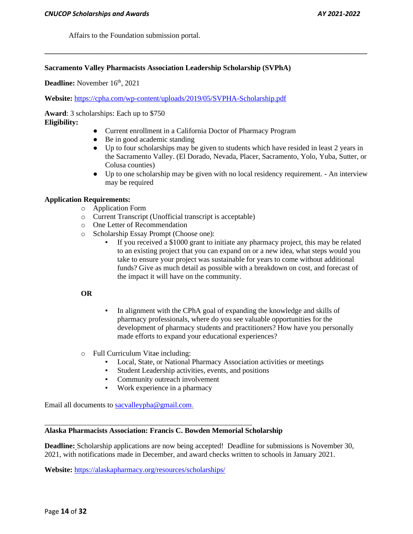Affairs to the Foundation submission portal.

#### **Sacramento Valley Pharmacists Association Leadership Scholarship (SVPhA)**

**Deadline:** November 16<sup>th</sup>, 2021

**Website:** <https://cpha.com/wp-content/uploads/2019/05/SVPHA-Scholarship.pdf>

**Award**: 3 scholarships: Each up to \$750 **Eligibility:**

#### • Current enrollment in a California Doctor of Pharmacy Program

**\_\_\_\_\_\_\_\_\_\_\_\_\_\_\_\_\_\_\_\_\_\_\_\_\_\_\_\_\_\_\_\_\_\_\_\_\_\_\_\_\_\_\_\_\_\_\_\_\_\_\_\_\_\_\_\_\_\_\_\_\_\_\_\_\_\_\_\_\_\_\_\_\_\_\_\_\_\_\_\_\_\_\_\_\_\_\_**

- Be in good academic standing
- Up to four scholarships may be given to students which have resided in least 2 years in the Sacramento Valley. (El Dorado, Nevada, Placer, Sacramento, Yolo, Yuba, Sutter, or Colusa counties)
- Up to one scholarship may be given with no local residency requirement. An interview may be required

## **Application Requirements:**

- o Application Form
- o Current Transcript (Unofficial transcript is acceptable)
- o One Letter of Recommendation
- o Scholarship Essay Prompt (Choose one):
	- If you received a \$1000 grant to initiate any pharmacy project, this may be related to an existing project that you can expand on or a new idea, what steps would you take to ensure your project was sustainable for years to come without additional funds? Give as much detail as possible with a breakdown on cost, and forecast of the impact it will have on the community.

### **OR**

- In alignment with the CPhA goal of expanding the knowledge and skills of pharmacy professionals, where do you see valuable opportunities for the development of pharmacy students and practitioners? How have you personally made efforts to expand your educational experiences?
- o Full Curriculum Vitae including:
	- Local, State, or National Pharmacy Association activities or meetings
	- Student Leadership activities, events, and positions
	- **•** Community outreach involvement
	- Work experience in a pharmacy

Email all documents to [sacvalleypha@gmail.com.](mailto:sacvalleypha@gmail.com)

#### **Alaska Pharmacists Association: Francis C. Bowden Memorial Scholarship**

\_\_\_\_\_\_\_\_\_\_\_\_\_\_\_\_\_\_\_\_\_\_\_\_\_\_\_\_\_\_\_\_\_\_\_\_\_\_\_\_\_\_\_\_\_\_\_\_\_\_\_\_\_\_\_\_

**Deadline:** Scholarship applications are now being accepted! Deadline for submissions is November 30, 2021, with notifications made in December, and award checks written to schools in January 2021.

**Website:** <https://alaskapharmacy.org/resources/scholarships/>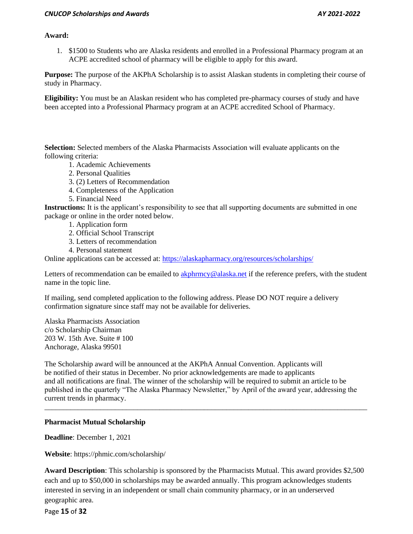#### *CNUCOP Scholarships and Awards AY 2021-2022*

## **Award:**

1. \$1500 to Students who are Alaska residents and enrolled in a Professional Pharmacy program at an ACPE accredited school of pharmacy will be eligible to apply for this award.

**Purpose:** The purpose of the AKPhA Scholarship is to assist Alaskan students in completing their course of study in Pharmacy.

**Eligibility:** You must be an Alaskan resident who has completed pre-pharmacy courses of study and have been accepted into a Professional Pharmacy program at an ACPE accredited School of Pharmacy.

**Selection:** Selected members of the Alaska Pharmacists Association will evaluate applicants on the following criteria:

- 1. Academic Achievements
- 2. Personal Qualities
- 3. (2) Letters of Recommendation
- 4. Completeness of the Application
- 5. Financial Need

**Instructions:** It is the applicant's responsibility to see that all supporting documents are submitted in one package or online in the order noted below.

- 1. Application form
- 2. Official School Transcript
- 3. Letters of recommendation
- 4. Personal statement

Online applications can be accessed at:<https://alaskapharmacy.org/resources/scholarships/>

Letters of recommendation can be emailed to [akphrmcy@alaska.net](mailto:akphrmcy@alaska.net) if the reference prefers, with the student name in the topic line.

If mailing, send completed application to the following address. Please DO NOT require a delivery confirmation signature since staff may not be available for deliveries.

Alaska Pharmacists Association c/o Scholarship Chairman 203 W. 15th Ave. Suite # 100 Anchorage, Alaska 99501

The Scholarship award will be announced at the AKPhA Annual Convention. Applicants will be notified of their status in December. No prior acknowledgements are made to applicants and all notifications are final. The winner of the scholarship will be required to submit an article to be published in the quarterly "The Alaska Pharmacy Newsletter," by April of the award year, addressing the current trends in pharmacy.

\_\_\_\_\_\_\_\_\_\_\_\_\_\_\_\_\_\_\_\_\_\_\_\_\_\_\_\_\_\_\_\_\_\_\_\_\_\_\_\_\_\_\_\_\_\_\_\_\_\_\_\_\_\_\_\_\_\_\_\_\_\_\_\_\_\_\_\_\_\_\_\_\_\_\_\_\_\_\_\_\_\_\_\_\_\_\_

## **Pharmacist Mutual Scholarship**

**Deadline**: December 1, 2021

**Website**: https://phmic.com/scholarship/

**Award Description**: This scholarship is sponsored by the Pharmacists Mutual. This award provides \$2,500 each and up to \$50,000 in scholarships may be awarded annually. This program acknowledges students interested in serving in an independent or small chain community pharmacy, or in an underserved geographic area.

Page **15** of **32**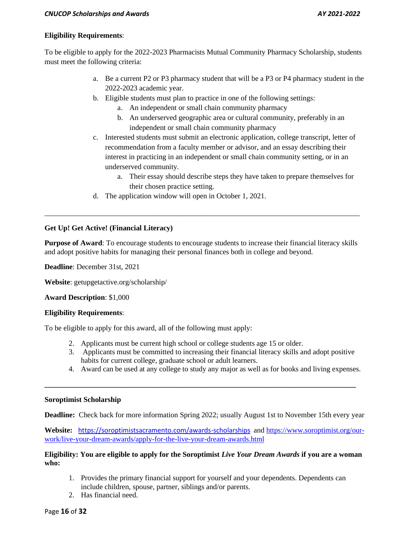# **Eligibility Requirements**:

To be eligible to apply for the 2022-2023 Pharmacists Mutual Community Pharmacy Scholarship, students must meet the following criteria:

- a. Be a current P2 or P3 pharmacy student that will be a P3 or P4 pharmacy student in the 2022-2023 academic year.
- b. Eligible students must plan to practice in one of the following settings:
	- a. An independent or small chain community pharmacy
	- b. An underserved geographic area or cultural community, preferably in an independent or small chain community pharmacy
- c. Interested students must submit an electronic application, college transcript, letter of recommendation from a faculty member or advisor, and an essay describing their interest in practicing in an independent or small chain community setting, or in an underserved community.
	- a. Their essay should describe steps they have taken to prepare themselves for their chosen practice setting.
- d. The application window will open in October 1, 2021.

# **Get Up! Get Active! (Financial Literacy)**

**Purpose of Award**: To encourage students to encourage students to increase their financial literacy skills and adopt positive habits for managing their personal finances both in college and beyond.

\_\_\_\_\_\_\_\_\_\_\_\_\_\_\_\_\_\_\_\_\_\_\_\_\_\_\_\_\_\_\_\_\_\_\_\_\_\_\_\_\_\_\_\_\_\_\_\_\_\_\_\_\_\_\_\_\_\_\_\_\_\_\_\_\_\_\_\_\_\_\_\_\_\_\_\_\_\_\_\_\_\_\_\_\_

**Deadline**: December 31st, 2021

**Website**: getupgetactive.org/scholarship/

# **Award Description**: \$1,000

# **Eligibility Requirements**:

To be eligible to apply for this award, all of the following must apply:

- 2. Applicants must be current high school or college students age 15 or older.
- 3. Applicants must be committed to increasing their financial literacy skills and adopt positive habits for current college, graduate school or adult learners.
- 4. Award can be used at any college to study any major as well as for books and living expenses.

## **Soroptimist Scholarship**

**Deadline:** Check back for more information Spring 2022; usually August 1st to November 15th every year

**\_\_\_\_\_\_\_\_\_\_\_\_\_\_\_\_\_\_\_\_\_\_\_\_\_\_\_\_\_\_\_\_\_\_\_\_\_\_\_\_\_\_\_\_\_\_\_\_\_\_\_\_\_\_\_\_\_\_\_\_\_\_\_\_\_\_\_\_\_\_\_\_\_\_\_\_\_\_\_\_\_\_\_\_**

**Website:** <https://soroptimistsacramento.com/awards-scholarships> an[d https://www.soroptimist.org/our](https://www.soroptimist.org/our-work/live-your-dream-awards/apply-for-the-live-your-dream-awards.html)[work/live-your-dream-awards/apply-for-the-live-your-dream-awards.html](https://www.soroptimist.org/our-work/live-your-dream-awards/apply-for-the-live-your-dream-awards.html)

# **Eligibility: You are eligible to apply for the Soroptimist** *Live Your Dream Awards* **if you are a woman who:**

- 1. Provides the primary financial support for yourself and your dependents. Dependents can include children, spouse, partner, siblings and/or parents.
- 2. Has financial need.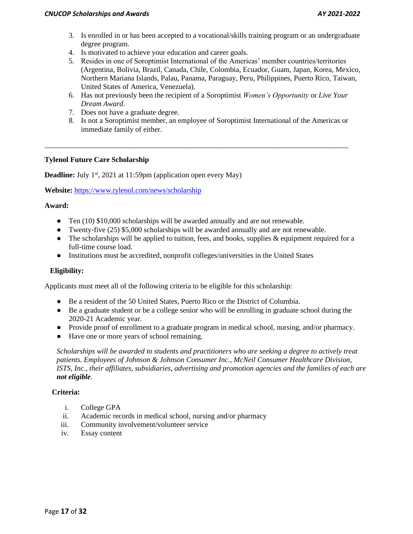- 3. Is enrolled in or has been accepted to a vocational/skills training program or an undergraduate degree program.
- 4. Is motivated to achieve your education and career goals.
- 5. Resides in one of Soroptimist International of the Americas' member countries/territories (Argentina, Bolivia, Brazil, Canada, Chile, Colombia, Ecuador, Guam, Japan, Korea, Mexico, Northern Mariana Islands, Palau, Panama, Paraguay, Peru, Philippines, Puerto Rico, Taiwan, United States of America, Venezuela).
- 6. Has not previously been the recipient of a Soroptimist *Women's Opportunity* or *Live Your Dream Award*.
- 7. Does not have a graduate degree.
- 8. Is not a Soroptimist member, an employee of Soroptimist International of the Americas or immediate family of either.

\_\_\_\_\_\_\_\_\_\_\_\_\_\_\_\_\_\_\_\_\_\_\_\_\_\_\_\_\_\_\_\_\_\_\_\_\_\_\_\_\_\_\_\_\_\_\_\_\_\_\_\_\_\_\_\_\_\_\_\_\_\_\_\_\_\_\_\_\_\_\_\_\_\_\_\_\_\_\_\_\_\_

# **Tylenol Future Care Scholarship**

**Deadline:** July 1<sup>st</sup>, 2021 at 11:59pm (application open every May)

**Website:** <https://www.tylenol.com/news/scholarship>

## **Award:**

- Ten (10) \$10,000 scholarships will be awarded annually and are not renewable.
- Twenty-five (25) \$5,000 scholarships will be awarded annually and are not renewable.
- $\bullet$  The scholarships will be applied to tuition, fees, and books, supplies & equipment required for a full-time course load.
- Institutions must be accredited, nonprofit colleges/universities in the United States

# **Eligibility:**

Applicants must meet all of the following criteria to be eligible for this scholarship:

- Be a resident of the 50 United States, Puerto Rico or the District of Columbia.
- Be a graduate student or be a college senior who will be enrolling in graduate school during the 2020-21 Academic year.
- Provide proof of enrollment to a graduate program in medical school, nursing, and/or pharmacy.
- Have one or more years of school remaining.

*Scholarships will be awarded to students and practitioners who are seeking a degree to actively treat patients. Employees of Johnson & Johnson Consumer Inc., McNeil Consumer Healthcare Division, ISTS, Inc., their affiliates, subsidiaries, advertising and promotion agencies and the families of each are not eligible.*

## **Criteria:**

- i. College GPA
- ii. Academic records in medical school, nursing and/or pharmacy
- iii. Community involvement/volunteer service
- iv. Essay content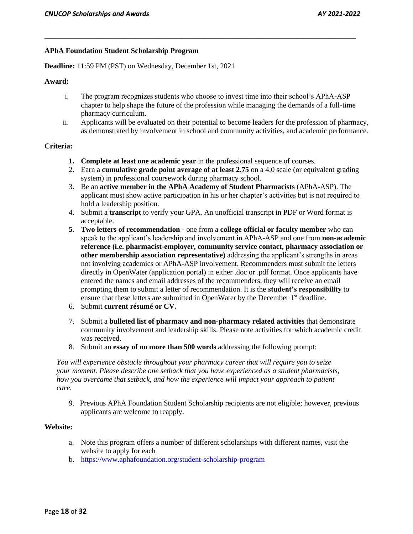## **APhA Foundation Student Scholarship Program**

**Deadline:** 11:59 PM (PST) on Wednesday, December 1st, 2021

#### **Award:**

i. The program recognizes students who choose to invest time into their school's APhA-ASP chapter to help shape the future of the profession while managing the demands of a full-time pharmacy curriculum.

\_\_\_\_\_\_\_\_\_\_\_\_\_\_\_\_\_\_\_\_\_\_\_\_\_\_\_\_\_\_\_\_\_\_\_\_\_\_\_\_\_\_\_\_\_\_\_\_\_\_\_\_\_\_\_\_\_\_\_\_\_\_\_\_\_\_\_\_\_\_\_\_\_\_\_\_\_\_\_\_\_\_\_\_

ii. Applicants will be evaluated on their potential to become leaders for the profession of pharmacy, as demonstrated by involvement in school and community activities, and academic performance.

#### **Criteria:**

- **1. Complete at least one academic year** in the professional sequence of courses.
- 2. Earn a **cumulative grade point average of at least 2.75** on a 4.0 scale (or equivalent grading system) in professional coursework during pharmacy school.
- 3. Be an **active member in the APhA Academy of Student Pharmacists** (APhA-ASP). The applicant must show active participation in his or her chapter's activities but is not required to hold a leadership position.
- 4. Submit a **transcript** to verify your GPA. An unofficial transcript in PDF or Word format is acceptable.
- **5. Two letters of recommendation** one from a **college official or faculty member** who can speak to the applicant's leadership and involvement in APhA-ASP and one from **non-academic reference (i.e. pharmacist-employer, community service contact, pharmacy association or other membership association representative)** addressing the applicant's strengths in areas not involving academics or APhA-ASP involvement. Recommenders must submit the letters directly in OpenWater (application portal) in either .doc or .pdf format. Once applicants have entered the names and email addresses of the recommenders, they will receive an email prompting them to submit a letter of recommendation. It is the **student's responsibility** to ensure that these letters are submitted in OpenWater by the December 1<sup>st</sup> deadline.
- 6. Submit **current résumé or CV.**
- 7. Submit a **bulleted list of pharmacy and non-pharmacy related activities** that demonstrate community involvement and leadership skills. Please note activities for which academic credit was received.
- 8. Submit an **essay of no more than 500 words** addressing the following prompt:

*You will experience obstacle throughout your pharmacy career that will require you to seize your moment. Pleas*e *describe one setback that you have experienced as a student pharmacists, how you overcame that setback, and how the experience will impact your approach to patient care.*

9. Previous APhA Foundation Student Scholarship recipients are not eligible; however, previous applicants are welcome to reapply.

## **Website:**

- a. Note this program offers a number of different scholarships with different names, visit the website to apply for each
- b. <https://www.aphafoundation.org/student-scholarship-program>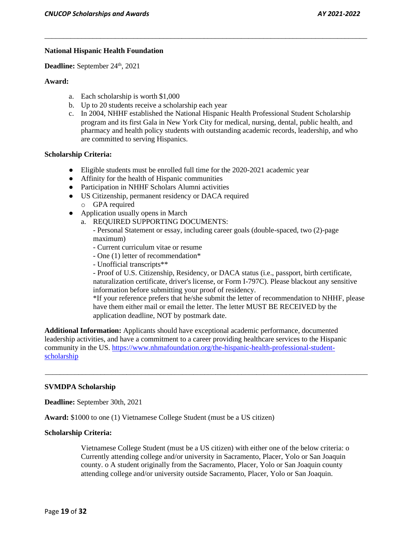### **National Hispanic Health Foundation**

Deadline: September 24<sup>th</sup>, 2021

#### **Award:**

- a. Each scholarship is worth \$1,000
- b. Up to 20 students receive a scholarship each year
- c. In 2004, NHHF established the National Hispanic Health Professional Student Scholarship program and its first Gala in New York City for medical, nursing, dental, public health, and pharmacy and health policy students with outstanding academic records, leadership, and who are committed to serving Hispanics.

\_\_\_\_\_\_\_\_\_\_\_\_\_\_\_\_\_\_\_\_\_\_\_\_\_\_\_\_\_\_\_\_\_\_\_\_\_\_\_\_\_\_\_\_\_\_\_\_\_\_\_\_\_\_\_\_\_\_\_\_\_\_\_\_\_\_\_\_\_\_\_\_\_\_\_\_\_\_\_\_\_\_\_\_\_\_\_

#### **Scholarship Criteria:**

- Eligible students must be enrolled full time for the 2020-2021 academic year
- Affinity for the health of Hispanic communities
- Participation in NHHF Scholars Alumni activities
- US Citizenship, permanent residency or DACA required
	- o GPA required
- Application usually opens in March
	- a. REQUIRED SUPPORTING DOCUMENTS:
		- Personal Statement or essay, including career goals (double-spaced, two (2)-page maximum)
		- Current curriculum vitae or resume
		- One (1) letter of recommendation\*
		- Unofficial transcripts\*\*

- Proof of U.S. Citizenship, Residency, or DACA status (i.e., passport, birth certificate, naturalization certificate, driver's license, or Form I-797C). Please blackout any sensitive information before submitting your proof of residency.

\*If your reference prefers that he/she submit the letter of recommendation to NHHF, please have them either mail or email the letter. The letter MUST BE RECEIVED by the application deadline, NOT by postmark date.

**Additional Information:** Applicants should have exceptional academic performance, documented leadership activities, and have a commitment to a career providing healthcare services to the Hispanic community in the US. [https://www.nhmafoundation.org/the-hispanic-health-professional-student](https://www.nhmafoundation.org/the-hispanic-health-professional-student-scholarship)[scholarship](https://www.nhmafoundation.org/the-hispanic-health-professional-student-scholarship)

\_\_\_\_\_\_\_\_\_\_\_\_\_\_\_\_\_\_\_\_\_\_\_\_\_\_\_\_\_\_\_\_\_\_\_\_\_\_\_\_\_\_\_\_\_\_\_\_\_\_\_\_\_\_\_\_\_\_\_\_\_\_\_\_\_\_\_\_\_\_\_\_\_\_\_\_\_\_\_\_\_\_\_\_\_\_\_

#### **SVMDPA Scholarship**

**Deadline:** September 30th, 2021

**Award:** \$1000 to one (1) Vietnamese College Student (must be a US citizen)

#### **Scholarship Criteria:**

Vietnamese College Student (must be a US citizen) with either one of the below criteria: o Currently attending college and/or university in Sacramento, Placer, Yolo or San Joaquin county. o A student originally from the Sacramento, Placer, Yolo or San Joaquin county attending college and/or university outside Sacramento, Placer, Yolo or San Joaquin.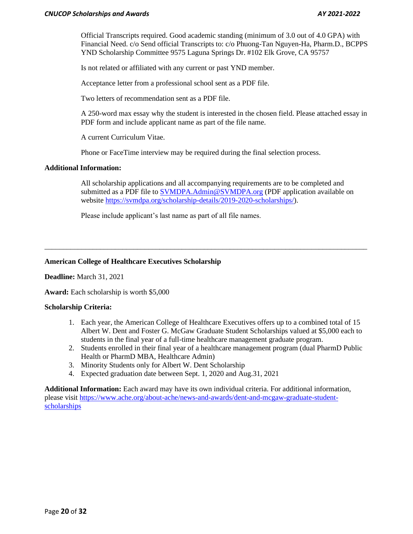Official Transcripts required. Good academic standing (minimum of 3.0 out of 4.0 GPA) with Financial Need. c/o Send official Transcripts to: c/o Phuong-Tan Nguyen-Ha, Pharm.D., BCPPS YND Scholarship Committee 9575 Laguna Springs Dr. #102 Elk Grove, CA 95757

Is not related or affiliated with any current or past YND member.

Acceptance letter from a professional school sent as a PDF file.

Two letters of recommendation sent as a PDF file.

A 250-word max essay why the student is interested in the chosen field. Please attached essay in PDF form and include applicant name as part of the file name.

A current Curriculum Vitae.

Phone or FaceTime interview may be required during the final selection process.

#### **Additional Information:**

All scholarship applications and all accompanying requirements are to be completed and submitted as a PDF file to [SVMDPA.Admin@SVMDPA.org](mailto:SVMDPA.Admin@SVMDPA.org) (PDF application available on website [https://svmdpa.org/scholarship-details/2019-2020-scholarships/\)](https://svmdpa.org/scholarship-details/2019-2020-scholarships/).

\_\_\_\_\_\_\_\_\_\_\_\_\_\_\_\_\_\_\_\_\_\_\_\_\_\_\_\_\_\_\_\_\_\_\_\_\_\_\_\_\_\_\_\_\_\_\_\_\_\_\_\_\_\_\_\_\_\_\_\_\_\_\_\_\_\_\_\_\_\_\_\_\_\_\_\_\_\_\_\_\_\_\_\_\_\_\_

Please include applicant's last name as part of all file names.

## **American College of Healthcare Executives Scholarship**

**Deadline:** March 31, 2021

**Award:** Each scholarship is worth \$5,000

#### **Scholarship Criteria:**

- 1. Each year, the American College of Healthcare Executives offers up to a combined total of 15 Albert W. Dent and Foster G. McGaw Graduate Student Scholarships valued at \$5,000 each to students in the final year of a full-time healthcare management graduate program.
- 2. Students enrolled in their final year of a healthcare management program (dual PharmD Public Health or PharmD MBA, Healthcare Admin)
- 3. Minority Students only for Albert W. Dent Scholarship
- 4. Expected graduation date between Sept. 1, 2020 and Aug.31, 2021

**Additional Information:** Each award may have its own individual criteria. For additional information, please visit [https://www.ache.org/about-ache/news-and-awards/dent-and-mcgaw-graduate-student](https://mail.cnsu.edu/owa/redir.aspx?C=dCHdA3Vbb5JuO9vp78WxZ18EHMnkVVAqdqZOIiysoGMhr5oAeHDYCA..&URL=https%3a%2f%2fwww.ache.org%2fabout-ache%2fnews-and-awards%2fdent-and-mcgaw-graduate-student-scholarships)[scholarships](https://mail.cnsu.edu/owa/redir.aspx?C=dCHdA3Vbb5JuO9vp78WxZ18EHMnkVVAqdqZOIiysoGMhr5oAeHDYCA..&URL=https%3a%2f%2fwww.ache.org%2fabout-ache%2fnews-and-awards%2fdent-and-mcgaw-graduate-student-scholarships)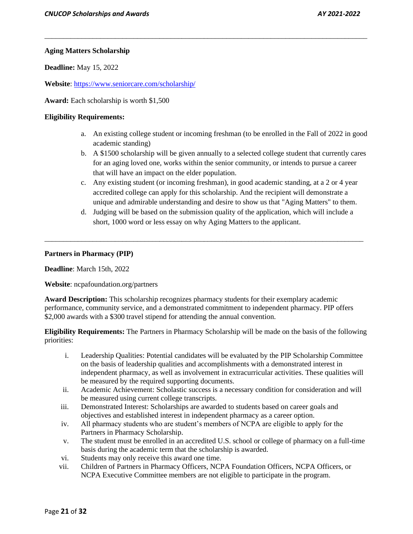# **Aging Matters Scholarship**

**Deadline:** May 15, 2022

**Website**[: https://www.seniorcare.com/scholarship/](https://www.seniorcare.com/scholarship/)

**Award:** Each scholarship is worth \$1,500

### **Eligibility Requirements:**

a. An existing college student or incoming freshman (to be enrolled in the Fall of 2022 in good academic standing)

\_\_\_\_\_\_\_\_\_\_\_\_\_\_\_\_\_\_\_\_\_\_\_\_\_\_\_\_\_\_\_\_\_\_\_\_\_\_\_\_\_\_\_\_\_\_\_\_\_\_\_\_\_\_\_\_\_\_\_\_\_\_\_\_\_\_\_\_\_\_\_\_\_\_\_\_\_\_\_\_\_\_\_\_\_\_\_

- b. A \$1500 scholarship will be given annually to a selected college student that currently cares for an aging loved one, works within the senior community, or intends to pursue a career that will have an impact on the elder population.
- c. Any existing student (or incoming freshman), in good academic standing, at a 2 or 4 year accredited college can apply for this scholarship. And the recipient will demonstrate a unique and admirable understanding and desire to show us that "Aging Matters" to them.
- d. Judging will be based on the submission quality of the application, which will include a short, 1000 word or less essay on why Aging Matters to the applicant.

\_\_\_\_\_\_\_\_\_\_\_\_\_\_\_\_\_\_\_\_\_\_\_\_\_\_\_\_\_\_\_\_\_\_\_\_\_\_\_\_\_\_\_\_\_\_\_\_\_\_\_\_\_\_\_\_\_\_\_\_\_\_\_\_\_\_\_\_\_\_\_\_\_\_\_\_\_\_\_\_\_\_\_\_\_\_

#### **Partners in Pharmacy (PIP)**

**Deadline**: March 15th, 2022

**Website**: ncpafoundation.org/partners

**Award Description:** This scholarship recognizes pharmacy students for their exemplary academic performance, community service, and a demonstrated commitment to independent pharmacy. PIP offers \$2,000 awards with a \$300 travel stipend for attending the annual convention.

**Eligibility Requirements:** The Partners in Pharmacy Scholarship will be made on the basis of the following priorities:

- i. Leadership Qualities: Potential candidates will be evaluated by the PIP Scholarship Committee on the basis of leadership qualities and accomplishments with a demonstrated interest in independent pharmacy, as well as involvement in extracurricular activities. These qualities will be measured by the required supporting documents.
- ii. Academic Achievement: Scholastic success is a necessary condition for consideration and will be measured using current college transcripts.
- iii. Demonstrated Interest: Scholarships are awarded to students based on career goals and objectives and established interest in independent pharmacy as a career option.
- iv. All pharmacy students who are student's members of NCPA are eligible to apply for the Partners in Pharmacy Scholarship.
- v. The student must be enrolled in an accredited U.S. school or college of pharmacy on a full-time basis during the academic term that the scholarship is awarded.
- vi. Students may only receive this award one time.
- vii. Children of Partners in Pharmacy Officers, NCPA Foundation Officers, NCPA Officers, or NCPA Executive Committee members are not eligible to participate in the program.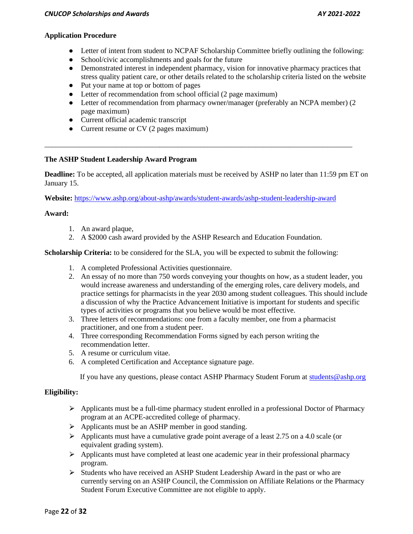# **Application Procedure**

- Letter of intent from student to NCPAF Scholarship Committee briefly outlining the following:
- School/civic accomplishments and goals for the future
- Demonstrated interest in independent pharmacy, vision for innovative pharmacy practices that stress quality patient care, or other details related to the scholarship criteria listed on the website
- Put your name at top or bottom of pages
- Letter of recommendation from school official (2 page maximum)
- Letter of recommendation from pharmacy owner/manager (preferably an NCPA member) (2) page maximum)
- Current official academic transcript
- Current resume or CV (2 pages maximum)

# **The ASHP Student Leadership Award Program**

**Deadline:** To be accepted, all application materials must be received by ASHP no later than 11:59 pm ET on January 15.

\_\_\_\_\_\_\_\_\_\_\_\_\_\_\_\_\_\_\_\_\_\_\_\_\_\_\_\_\_\_\_\_\_\_\_\_\_\_\_\_\_\_\_\_\_\_\_\_\_\_\_\_\_\_\_\_\_\_\_\_\_\_\_\_\_\_\_\_\_\_\_\_\_\_\_\_\_\_\_\_\_\_\_

**Website:** <https://www.ashp.org/about-ashp/awards/student-awards/ashp-student-leadership-award>

# **Award:**

- 1. An award plaque,
- 2. A \$2000 cash award provided by the ASHP Research and Education Foundation.

**Scholarship Criteria:** to be considered for the SLA, you will be expected to submit the following:

- 1. A completed Professional Activities questionnaire.
- 2. An essay of no more than 750 words conveying your thoughts on how, as a student leader, you would increase awareness and understanding of the emerging roles, care delivery models, and practice settings for pharmacists in the year 2030 among student colleagues. This should include a discussion of why the Practice Advancement Initiative is important for students and specific types of activities or programs that you believe would be most effective.
- 3. Three letters of recommendations: one from a faculty member, one from a pharmacist practitioner, and one from a student peer.
- 4. Three corresponding Recommendation Forms signed by each person writing the recommendation letter.
- 5. A resume or curriculum vitae.
- 6. A completed Certification and Acceptance signature page.

If you have any questions, please contact ASHP Pharmacy Student Forum at [students@ashp.org](mailto:students@ashp.org)

## **Eligibility:**

- $\triangleright$  Applicants must be a full-time pharmacy student enrolled in a professional Doctor of Pharmacy program at an ACPE-accredited college of pharmacy.
- $\triangleright$  Applicants must be an ASHP member in good standing.
- $\triangleright$  Applicants must have a cumulative grade point average of a least 2.75 on a 4.0 scale (or equivalent grading system).
- ⮚ Applicants must have completed at least one academic year in their professional pharmacy program.
- $\triangleright$  Students who have received an ASHP Student Leadership Award in the past or who are currently serving on an ASHP Council, the Commission on Affiliate Relations or the Pharmacy Student Forum Executive Committee are not eligible to apply.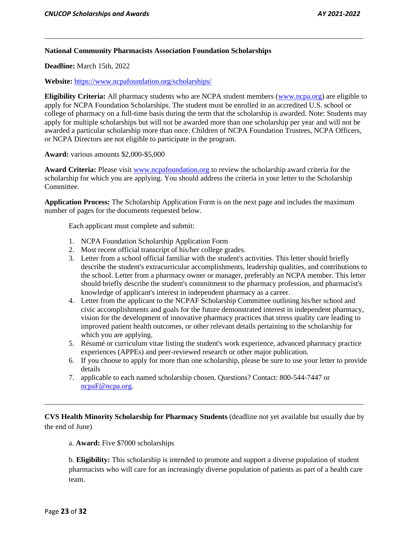### **National Community Pharmacists Association Foundation Scholarships**

**Deadline:** March 15th, 2022

**Website:** <https://www.ncpafoundation.org/scholarships/>

**Eligibility Criteria:** All pharmacy students who are NCPA student members (www.ncpa.org) are eligible to apply for NCPA Foundation Scholarships. The student must be enrolled in an accredited U.S. school or college of pharmacy on a full-time basis during the term that the scholarship is awarded. Note: Students may apply for multiple scholarships but will not be awarded more than one scholarship per year and will not be awarded a particular scholarship more than once. Children of NCPA Foundation Trustees, NCPA Officers, or NCPA Directors are not eligible to participate in the program.

\_\_\_\_\_\_\_\_\_\_\_\_\_\_\_\_\_\_\_\_\_\_\_\_\_\_\_\_\_\_\_\_\_\_\_\_\_\_\_\_\_\_\_\_\_\_\_\_\_\_\_\_\_\_\_\_\_\_\_\_\_\_\_\_\_\_\_\_\_\_\_\_\_\_\_\_\_\_\_\_\_\_\_\_\_\_

**Award:** various amounts \$2,000-\$5,000

**Award Criteria:** Please visit www.ncpafoundation.org to review the scholarship award criteria for the scholarship for which you are applying. You should address the criteria in your letter to the Scholarship Committee.

**Application Process:** The Scholarship Application Form is on the next page and includes the maximum number of pages for the documents requested below.

Each applicant must complete and submit:

- 1. NCPA Foundation Scholarship Application Form
- 2. Most recent official transcript of his/her college grades.
- 3. Letter from a school official familiar with the student's activities. This letter should briefly describe the student's extracurricular accomplishments, leadership qualities, and contributions to the school. Letter from a pharmacy owner or manager, preferably an NCPA member. This letter should briefly describe the student's commitment to the pharmacy profession, and pharmacist's knowledge of applicant's interest in independent pharmacy as a career.
- 4. Letter from the applicant to the NCPAF Scholarship Committee outlining his/her school and civic accomplishments and goals for the future demonstrated interest in independent pharmacy, vision for the development of innovative pharmacy practices that stress quality care leading to improved patient health outcomes, or other relevant details pertaining to the scholarship for which you are applying.
- 5. Résumé or curriculum vitae listing the student's work experience, advanced pharmacy practice experiences (APPEs) and peer-reviewed research or other major publication.
- 6. If you choose to apply for more than one scholarship, please be sure to use your letter to provide details
- 7. applicable to each named scholarship chosen. Questions? Contact: 800-544-7447 or [ncpaF@ncpa.org.](mailto:ncpaF@ncpa.org)

**CVS Health Minority Scholarship for Pharmacy Students** (deadline not yet available but usually due by the end of June)

\_\_\_\_\_\_\_\_\_\_\_\_\_\_\_\_\_\_\_\_\_\_\_\_\_\_\_\_\_\_\_\_\_\_\_\_\_\_\_\_\_\_\_\_\_\_\_\_\_\_\_\_\_\_\_\_\_\_\_\_\_\_\_\_\_\_\_\_\_\_\_\_\_\_\_\_\_\_\_\_\_\_\_\_\_\_

a. **Award:** Five \$7000 scholarships

b. **Eligibility:** This scholarship is intended to promote and support a diverse population of student pharmacists who will care for an increasingly diverse population of patients as part of a health care team.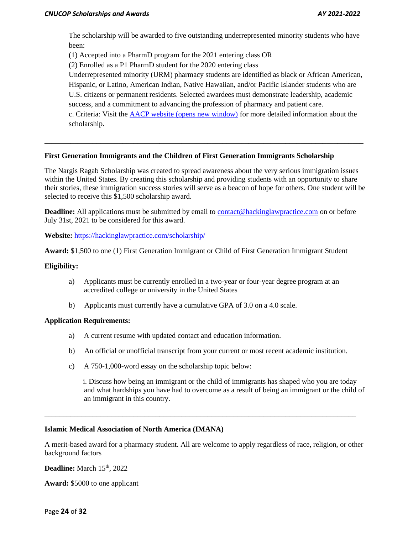The scholarship will be awarded to five outstanding underrepresented minority students who have been:

(1) Accepted into a PharmD program for the 2021 entering class OR

(2) Enrolled as a P1 PharmD student for the 2020 entering class

Underrepresented minority (URM) pharmacy students are identified as black or African American, Hispanic, or Latino, American Indian, Native Hawaiian, and/or Pacific Islander students who are

U.S. citizens or permanent residents. Selected awardees must demonstrate leadership, academic success, and a commitment to advancing the profession of pharmacy and patient care.

c. Criteria: Visit the AACP website [\(opens new window\)](https://www.aacp.org/resource/cvs-health-minority-scholarship-pharmacy-students) for more detailed information about the scholarship.

# **First Generation Immigrants and the Children of First Generation Immigrants Scholarship**

The Nargis Ragab Scholarship was created to spread awareness about the very serious immigration issues within the United States. By creating this scholarship and providing students with an opportunity to share their stories, these immigration success stories will serve as a beacon of hope for others. One student will be selected to receive this \$1,500 scholarship award.

**\_\_\_\_\_\_\_\_\_\_\_\_\_\_\_\_\_\_\_\_\_\_\_\_\_\_\_\_\_\_\_\_\_\_\_\_\_\_\_\_\_\_\_\_\_\_\_\_\_\_\_\_\_\_\_\_\_\_\_\_\_\_\_\_\_\_\_\_\_\_\_\_\_\_\_\_\_\_\_\_\_\_\_\_\_\_**

**Deadline:** All applications must be submitted by email to [contact@hackinglawpractice.com](mailto:contact@hackinglawpractice.com) on or before July 31st, 2021 to be considered for this award.

**Website:** <https://hackinglawpractice.com/scholarship/>

**Award:** \$1,500 to one (1) First Generation Immigrant or Child of First Generation Immigrant Student

### **Eligibility:**

- a) Applicants must be currently enrolled in a two-year or four-year degree program at an accredited college or university in the United States
- b) Applicants must currently have a cumulative GPA of 3.0 on a 4.0 scale.

## **Application Requirements:**

- a) A current resume with updated contact and education information.
- b) An official or unofficial transcript from your current or most recent academic institution.
- c) A 750-1,000-word essay on the scholarship topic below:

 i. Discuss how being an immigrant or the child of immigrants has shaped who you are today and what hardships you have had to overcome as a result of being an immigrant or the child of an immigrant in this country.

#### **Islamic Medical Association of North America (IMANA)**

A merit-based award for a pharmacy student. All are welcome to apply regardless of race, religion, or other background factors

\_\_\_\_\_\_\_\_\_\_\_\_\_\_\_\_\_\_\_\_\_\_\_\_\_\_\_\_\_\_\_\_\_\_\_\_\_\_\_\_\_\_\_\_\_\_\_\_\_\_\_\_\_\_\_\_\_\_\_\_\_\_\_\_\_\_\_\_\_\_\_\_\_\_\_\_\_\_\_\_\_\_\_\_

**Deadline:** March 15<sup>th</sup>, 2022

**Award:** \$5000 to one applicant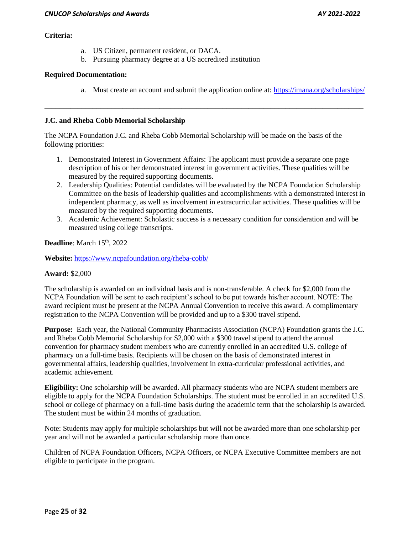### **Criteria:**

- a. US Citizen, permanent resident, or DACA.
- b. Pursuing pharmacy degree at a US accredited institution

## **Required Documentation:**

a. Must create an account and submit the application online at:<https://imana.org/scholarships/>

# **J.C. and Rheba Cobb Memorial Scholarship**

The NCPA Foundation J.C. and Rheba Cobb Memorial Scholarship will be made on the basis of the following priorities:

1. Demonstrated Interest in Government Affairs: The applicant must provide a separate one page description of his or her demonstrated interest in government activities. These qualities will be measured by the required supporting documents.

\_\_\_\_\_\_\_\_\_\_\_\_\_\_\_\_\_\_\_\_\_\_\_\_\_\_\_\_\_\_\_\_\_\_\_\_\_\_\_\_\_\_\_\_\_\_\_\_\_\_\_\_\_\_\_\_\_\_\_\_\_\_\_\_\_\_\_\_\_\_\_\_\_\_\_\_\_\_\_\_\_\_\_\_\_\_

- 2. Leadership Qualities: Potential candidates will be evaluated by the NCPA Foundation Scholarship Committee on the basis of leadership qualities and accomplishments with a demonstrated interest in independent pharmacy, as well as involvement in extracurricular activities. These qualities will be measured by the required supporting documents.
- 3. Academic Achievement: Scholastic success is a necessary condition for consideration and will be measured using college transcripts.

**Deadline:** March 15<sup>th</sup>, 2022

**Website:** <https://www.ncpafoundation.org/rheba-cobb/>

## **Award:** \$2,000

The scholarship is awarded on an individual basis and is non-transferable. A check for \$2,000 from the NCPA Foundation will be sent to each recipient's school to be put towards his/her account. NOTE: The award recipient must be present at the NCPA Annual Convention to receive this award. A complimentary registration to the NCPA Convention will be provided and up to a \$300 travel stipend.

**Purpose:** Each year, the National Community Pharmacists Association (NCPA) Foundation grants the J.C. and Rheba Cobb Memorial Scholarship for \$2,000 with a \$300 travel stipend to attend the annual convention for pharmacy student members who are currently enrolled in an accredited U.S. college of pharmacy on a full-time basis. Recipients will be chosen on the basis of demonstrated interest in governmental affairs, leadership qualities, involvement in extra-curricular professional activities, and academic achievement.

**Eligibility:** One scholarship will be awarded. All pharmacy students who are NCPA student members are eligible to apply for the NCPA Foundation Scholarships. The student must be enrolled in an accredited U.S. school or college of pharmacy on a full-time basis during the academic term that the scholarship is awarded. The student must be within 24 months of graduation.

Note: Students may apply for multiple scholarships but will not be awarded more than one scholarship per year and will not be awarded a particular scholarship more than once.

Children of NCPA Foundation Officers, NCPA Officers, or NCPA Executive Committee members are not eligible to participate in the program.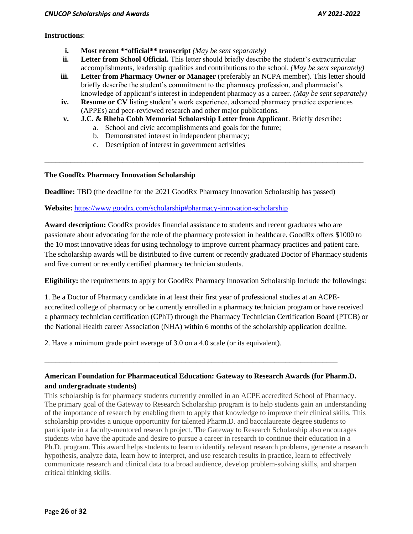## **Instructions**:

- **i. Most recent \*\*official\*\* transcript** *(May be sent separately)*
- **ii. Letter from School Official.** This letter should briefly describe the student's extracurricular accomplishments, leadership qualities and contributions to the school. *(May be sent separately)*
- **iii.** Letter from Pharmacy Owner or Manager (preferably an NCPA member). This letter should briefly describe the student's commitment to the pharmacy profession, and pharmacist's knowledge of applicant's interest in independent pharmacy as a career. *(May be sent separately)*
- **iv. Resume or CV** listing student's work experience, advanced pharmacy practice experiences (APPEs) and peer-reviewed research and other major publications.
- **v. J.C. & Rheba Cobb Memorial Scholarship Letter from Applicant**. Briefly describe:

\_\_\_\_\_\_\_\_\_\_\_\_\_\_\_\_\_\_\_\_\_\_\_\_\_\_\_\_\_\_\_\_\_\_\_\_\_\_\_\_\_\_\_\_\_\_\_\_\_\_\_\_\_\_\_\_\_\_\_\_\_\_\_\_\_\_\_\_\_\_\_\_\_\_\_\_\_\_\_\_\_\_\_\_\_\_

- a. School and civic accomplishments and goals for the future;
- b. Demonstrated interest in independent pharmacy;
- c. Description of interest in government activities

# **The GoodRx Pharmacy Innovation Scholarship**

**Deadline:** TBD (the deadline for the 2021 GoodRx Pharmacy Innovation Scholarship has passed)

# **Website:** <https://www.goodrx.com/scholarship#pharmacy-innovation-scholarship>

**Award description:** GoodRx provides financial assistance to students and recent graduates who are passionate about advocating for the role of the pharmacy profession in healthcare. GoodRx offers \$1000 to the 10 most innovative ideas for using technology to improve current pharmacy practices and patient care. The scholarship awards will be distributed to five current or recently graduated Doctor of Pharmacy students and five current or recently certified pharmacy technician students.

**Eligibility:** the requirements to apply for GoodRx Pharmacy Innovation Scholarship Include the followings:

1. Be a Doctor of Pharmacy candidate in at least their first year of professional studies at an ACPEaccredited college of pharmacy or be currently enrolled in a pharmacy technician program or have received a pharmacy technician certification (CPhT) through the Pharmacy Technician Certification Board (PTCB) or the National Health career Association (NHA) within 6 months of the scholarship application dealine.

2. Have a minimum grade point average of 3.0 on a 4.0 scale (or its equivalent).

# **American Foundation for Pharmaceutical Education: Gateway to Research Awards (for Pharm.D. and undergraduate students)**

\_\_\_\_\_\_\_\_\_\_\_\_\_\_\_\_\_\_\_\_\_\_\_\_\_\_\_\_\_\_\_\_\_\_\_\_\_\_\_\_\_\_\_\_\_\_\_\_\_\_\_\_\_\_\_\_\_\_\_\_\_\_\_\_\_\_\_\_\_\_\_\_\_\_\_\_\_\_\_

This scholarship is for pharmacy students currently enrolled in an ACPE accredited School of Pharmacy. The primary goal of the Gateway to Research Scholarship program is to help students gain an understanding of the importance of research by enabling them to apply that knowledge to improve their clinical skills. This scholarship provides a unique opportunity for talented Pharm.D. and baccalaureate degree students to participate in a faculty-mentored research project. The Gateway to Research Scholarship also encourages students who have the aptitude and desire to pursue a career in research to continue their education in a Ph.D. program. This award helps students to learn to identify relevant research problems, generate a research hypothesis, analyze data, learn how to interpret, and use research results in practice, learn to effectively communicate research and clinical data to a broad audience, develop problem-solving skills, and sharpen critical thinking skills.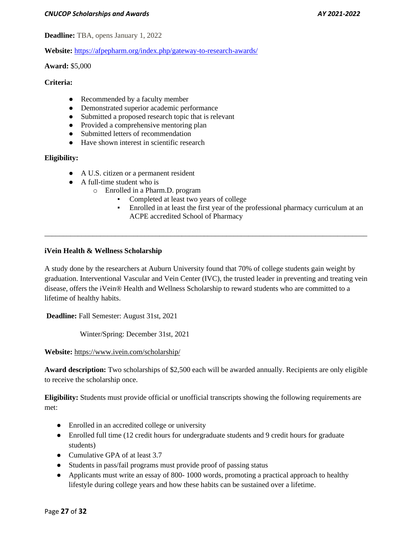**Deadline:** TBA, opens January 1, 2022

**Website:** <https://afpepharm.org/index.php/gateway-to-research-awards/>

**Award:** \$5,000

### **Criteria:**

- Recommended by a faculty member
- Demonstrated superior academic performance
- Submitted a proposed research topic that is relevant
- Provided a comprehensive mentoring plan
- Submitted letters of recommendation
- Have shown interest in scientific research

# **Eligibility:**

- A U.S. citizen or a permanent resident
- A full-time student who is
	- o Enrolled in a Pharm.D. program
		- Completed at least two years of college
		- Enrolled in at least the first year of the professional pharmacy curriculum at an ACPE accredited School of Pharmacy

## **iVein Health & Wellness Scholarship**

A study done by the researchers at Auburn University found that 70% of college students gain weight by graduation. Interventional Vascular and Vein Center (IVC), the trusted leader in preventing and treating vein disease, offers the iVein® Health and Wellness Scholarship to reward students who are committed to a lifetime of healthy habits.

\_\_\_\_\_\_\_\_\_\_\_\_\_\_\_\_\_\_\_\_\_\_\_\_\_\_\_\_\_\_\_\_\_\_\_\_\_\_\_\_\_\_\_\_\_\_\_\_\_\_\_\_\_\_\_\_\_\_\_\_\_\_\_\_\_\_\_\_\_\_\_\_\_\_\_\_\_\_\_\_\_\_\_\_\_\_\_

**Deadline:** Fall Semester: August 31st, 2021

Winter/Spring: December 31st, 2021

**Website:** <https://www.ivein.com/scholarship/>

**Award description:** Two scholarships of \$2,500 each will be awarded annually. Recipients are only eligible to receive the scholarship once.

**Eligibility:** Students must provide official or unofficial transcripts showing the following requirements are met:

- Enrolled in an accredited college or university
- Enrolled full time (12 credit hours for undergraduate students and 9 credit hours for graduate students)
- Cumulative GPA of at least 3.7
- Students in pass/fail programs must provide proof of passing status
- Applicants must write an essay of 800-1000 words, promoting a practical approach to healthy lifestyle during college years and how these habits can be sustained over a lifetime.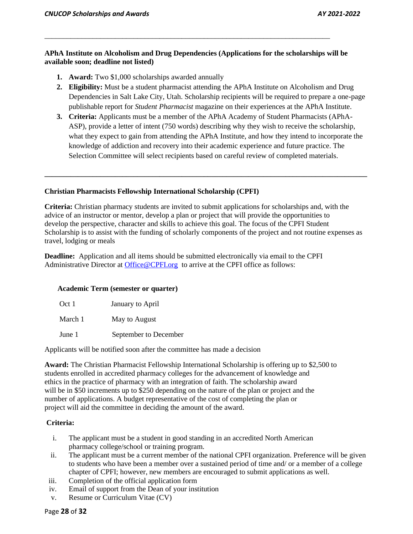# **APhA Institute on Alcoholism and Drug Dependencies (Applications for the scholarships will be available soon; deadline not listed)**

\_\_\_\_\_\_\_\_\_\_\_\_\_\_\_\_\_\_\_\_\_\_\_\_\_\_\_\_\_\_\_\_\_\_\_\_\_\_\_\_\_\_\_\_\_\_\_\_\_\_\_\_\_\_\_\_\_\_\_\_\_\_\_\_\_\_\_\_\_\_\_\_\_\_\_\_\_

- **1. Award:** Two \$1,000 scholarships awarded annually
- **2. Eligibility:** Must be a student pharmacist attending the APhA Institute on Alcoholism and Drug Dependencies in Salt Lake City, Utah. Scholarship recipients will be required to prepare a one-page publishable report for *Student Pharmacist* magazine on their experiences at the APhA Institute.
- **3. Criteria:** Applicants must be a member of the APhA Academy of Student Pharmacists (APhA-ASP), provide a letter of intent (750 words) describing why they wish to receive the scholarship, what they expect to gain from attending the APhA Institute, and how they intend to incorporate the knowledge of addiction and recovery into their academic experience and future practice. The Selection Committee will select recipients based on careful review of completed materials.

**\_\_\_\_\_\_\_\_\_\_\_\_\_\_\_\_\_\_\_\_\_\_\_\_\_\_\_\_\_\_\_\_\_\_\_\_\_\_\_\_\_\_\_\_\_\_\_\_\_\_\_\_\_\_\_\_\_\_\_\_\_\_\_\_\_\_\_\_\_\_\_\_\_\_\_\_\_\_\_\_\_\_\_\_\_\_\_**

# **Christian Pharmacists Fellowship International Scholarship (CPFI)**

**Criteria:** Christian pharmacy students are invited to submit applications for scholarships and, with the advice of an instructor or mentor, develop a plan or project that will provide the opportunities to develop the perspective, character and skills to achieve this goal. The focus of the CPFI Student Scholarship is to assist with the funding of scholarly components of the project and not routine expenses as travel, lodging or meals

**Deadline:** Application and all items should be submitted electronically via email to the CPFI Administrative Director at [Office@CPFI.org](mailto:Office@CPFI.org) to arrive at the CPFI office as follows:

## **Academic Term (semester or quarter)**

| Oct 1   | January to April      |
|---------|-----------------------|
| March 1 | May to August         |
| June 1  | September to December |

Applicants will be notified soon after the committee has made a decision

**Award:** The Christian Pharmacist Fellowship International Scholarship is offering up to \$2,500 to students enrolled in accredited pharmacy colleges for the advancement of knowledge and ethics in the practice of pharmacy with an integration of faith. The scholarship award will be in \$50 increments up to \$250 depending on the nature of the plan or project and the number of applications. A budget representative of the cost of completing the plan or project will aid the committee in deciding the amount of the award.

# **Criteria:**

- i. The applicant must be a student in good standing in an accredited North American pharmacy college/school or training program.
- ii. The applicant must be a current member of the national CPFI organization. Preference will be given to students who have been a member over a sustained period of time and/ or a member of a college chapter of CPFI; however, new members are encouraged to submit applications as well.
- iii. Completion of the official application form
- iv. Email of support from the Dean of your institution
- v. Resume or Curriculum Vitae (CV)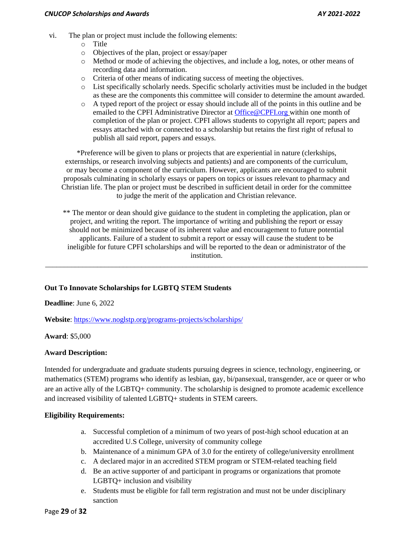- vi. The plan or project must include the following elements:
	- o Title
	- o Objectives of the plan, project or essay/paper
	- o Method or mode of achieving the objectives, and include a log, notes, or other means of recording data and information.
	- o Criteria of other means of indicating success of meeting the objectives.
	- o List specifically scholarly needs. Specific scholarly activities must be included in the budget as these are the components this committee will consider to determine the amount awarded.
	- o A typed report of the project or essay should include all of the points in this outline and be emailed to the CPFI Administrative Director at [Office@CPFI.org](mailto:Office@CPFI.org) within one month of completion of the plan or project. CPFI allows students to copyright all report; papers and essays attached with or connected to a scholarship but retains the first right of refusal to publish all said report, papers and essays.

\*Preference will be given to plans or projects that are experiential in nature (clerkships, externships, or research involving subjects and patients) and are components of the curriculum, or may become a component of the curriculum. However, applicants are encouraged to submit proposals culminating in scholarly essays or papers on topics or issues relevant to pharmacy and Christian life. The plan or project must be described in sufficient detail in order for the committee to judge the merit of the application and Christian relevance.

\*\* The mentor or dean should give guidance to the student in completing the application, plan or project, and writing the report. The importance of writing and publishing the report or essay should not be minimized because of its inherent value and encouragement to future potential applicants. Failure of a student to submit a report or essay will cause the student to be ineligible for future CPFI scholarships and will be reported to the dean or administrator of the institution.

\_\_\_\_\_\_\_\_\_\_\_\_\_\_\_\_\_\_\_\_\_\_\_\_\_\_\_\_\_\_\_\_\_\_\_\_\_\_\_\_\_\_\_\_\_\_\_\_\_\_\_\_\_\_\_\_\_\_\_\_\_\_\_\_\_\_\_\_\_\_\_\_\_\_\_\_\_\_\_\_\_\_\_\_\_\_\_

# **Out To Innovate Scholarships for LGBTQ STEM Students**

**Deadline**: June 6, 2022

**Website**[: https://www.noglstp.org/programs-projects/scholarships/](https://www.noglstp.org/programs-projects/scholarships/)

**Award**: \$5,000

## **Award Description:**

Intended for undergraduate and graduate students pursuing degrees in science, technology, engineering, or mathematics (STEM) programs who identify as lesbian, gay, bi/pansexual, transgender, ace or queer or who are an active ally of the LGBTQ+ community. The scholarship is designed to promote academic excellence and increased visibility of talented LGBTQ+ students in STEM careers.

## **Eligibility Requirements:**

- a. Successful completion of a minimum of two years of post-high school education at an accredited U.S College, university of community college
- b. Maintenance of a minimum GPA of 3.0 for the entirety of college/university enrollment
- c. A declared major in an accredited STEM program or STEM-related teaching field
- d. Be an active supporter of and participant in programs or organizations that promote LGBTQ+ inclusion and visibility
- e. Students must be eligible for fall term registration and must not be under disciplinary sanction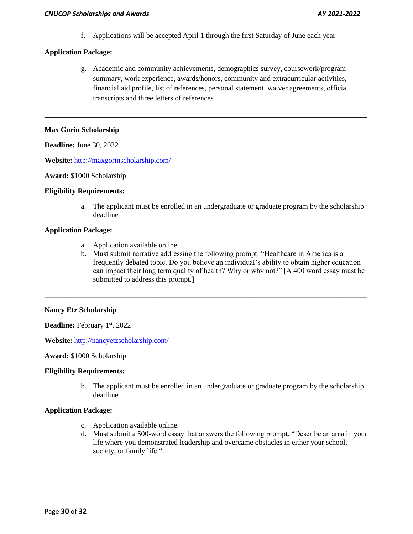f. Applications will be accepted April 1 through the first Saturday of June each year

# **Application Package:**

g. Academic and community achievements, demographics survey, coursework/program summary, work experience, awards/honors, community and extracurricular activities, financial aid profile, list of references, personal statement, waiver agreements, official transcripts and three letters of references

**\_\_\_\_\_\_\_\_\_\_\_\_\_\_\_\_\_\_\_\_\_\_\_\_\_\_\_\_\_\_\_\_\_\_\_\_\_\_\_\_\_\_\_\_\_\_\_\_\_\_\_\_\_\_\_\_\_\_\_\_\_\_\_\_\_\_\_\_\_\_\_\_\_\_\_\_\_\_\_\_\_\_\_\_\_\_\_**

# **Max Gorin Scholarship**

**Deadline:** June 30, 2022

**Website:** <http://maxgorinscholarship.com/>

#### **Award:** \$1000 Scholarship

## **Eligibility Requirements:**

a. The applicant must be enrolled in an undergraduate or graduate program by the scholarship deadline

## **Application Package:**

- a. Application available online.
- b. Must submit narrative addressing the following prompt: "Healthcare in America is a frequently debated topic. Do you believe an individual's ability to obtain higher education can impact their long term quality of health? Why or why not?" [A 400 word essay must be submitted to address this prompt.]

\_\_\_\_\_\_\_\_\_\_\_\_\_\_\_\_\_\_\_\_\_\_\_\_\_\_\_\_\_\_\_\_\_\_\_\_\_\_\_\_\_\_\_\_\_\_\_\_\_\_\_\_\_\_\_\_\_\_\_\_\_\_\_\_\_\_\_\_\_\_\_\_\_\_\_\_\_\_\_\_\_\_\_\_\_\_\_

## **Nancy Etz Scholarship**

**Deadline:** February 1st, 2022

**Website:** <http://nancyetzscholarship.com/>

**Award:** \$1000 Scholarship

## **Eligibility Requirements:**

b. The applicant must be enrolled in an undergraduate or graduate program by the scholarship deadline

## **Application Package:**

- c. Application available online.
- d. Must submit a 500-word essay that answers the following prompt. "Describe an area in your life where you demonstrated leadership and overcame obstacles in either your school, society, or family life ".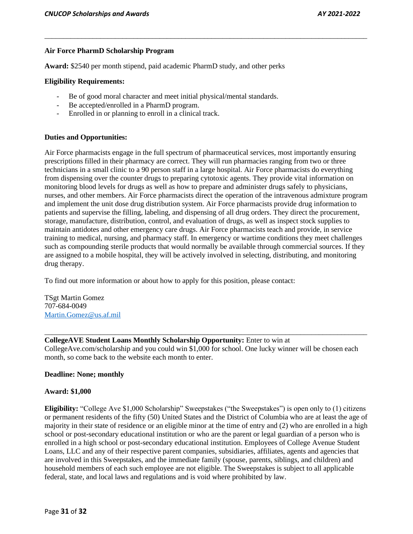### **Air Force PharmD Scholarship Program**

**Award:** \$2540 per month stipend, paid academic PharmD study, and other perks

#### **Eligibility Requirements:**

- Be of good moral character and meet initial physical/mental standards.
- Be accepted/enrolled in a PharmD program.
- Enrolled in or planning to enroll in a clinical track.

#### **Duties and Opportunities:**

Air Force pharmacists engage in the full spectrum of pharmaceutical services, most importantly ensuring prescriptions filled in their pharmacy are correct. They will run pharmacies ranging from two or three technicians in a small clinic to a 90 person staff in a large hospital. Air Force pharmacists do everything from dispensing over the counter drugs to preparing cytotoxic agents. They provide vital information on monitoring blood levels for drugs as well as how to prepare and administer drugs safely to physicians, nurses, and other members. Air Force pharmacists direct the operation of the intravenous admixture program and implement the unit dose drug distribution system. Air Force pharmacists provide drug information to patients and supervise the filling, labeling, and dispensing of all drug orders. They direct the procurement, storage, manufacture, distribution, control, and evaluation of drugs, as well as inspect stock supplies to maintain antidotes and other emergency care drugs. Air Force pharmacists teach and provide, in service training to medical, nursing, and pharmacy staff. In emergency or wartime conditions they meet challenges such as compounding sterile products that would normally be available through commercial sources. If they are assigned to a mobile hospital, they will be actively involved in selecting, distributing, and monitoring drug therapy.

\_\_\_\_\_\_\_\_\_\_\_\_\_\_\_\_\_\_\_\_\_\_\_\_\_\_\_\_\_\_\_\_\_\_\_\_\_\_\_\_\_\_\_\_\_\_\_\_\_\_\_\_\_\_\_\_\_\_\_\_\_\_\_\_\_\_\_\_\_\_\_\_\_\_\_\_\_\_\_\_\_\_\_\_\_\_\_

To find out more information or about how to apply for this position, please contact:

TSgt Martin Gomez 707-684-0049 [Martin.Gomez@us.af.mil](https://mail.cnsu.edu/owa/redir.aspx?C=ZMpvMurYmrIgfb34dAyFFQv4XTruI9NyGJTZjUoGyb4XKV2BT6rZCA..&URL=mailto%3aMartin.Gomez%40us.af.mil)

#### **CollegeAVE Student Loans Monthly Scholarship Opportunity:** Enter to win at

CollegeAve.com/scholarship and you could win \$1,000 for school. One lucky winner will be chosen each month, so come back to the website each month to enter.

\_\_\_\_\_\_\_\_\_\_\_\_\_\_\_\_\_\_\_\_\_\_\_\_\_\_\_\_\_\_\_\_\_\_\_\_\_\_\_\_\_\_\_\_\_\_\_\_\_\_\_\_\_\_\_\_\_\_\_\_\_\_\_\_\_\_\_\_\_\_\_\_\_\_\_\_\_\_\_\_\_\_\_\_\_\_\_

#### **Deadline: None; monthly**

#### **Award: \$1,000**

**Eligibility:** "College Ave \$1,000 Scholarship" Sweepstakes ("the Sweepstakes") is open only to (1) citizens or permanent residents of the fifty (50) United States and the District of Columbia who are at least the age of majority in their state of residence or an eligible minor at the time of entry and (2) who are enrolled in a high school or post-secondary educational institution or who are the parent or legal guardian of a person who is enrolled in a high school or post-secondary educational institution. Employees of College Avenue Student Loans, LLC and any of their respective parent companies, subsidiaries, affiliates, agents and agencies that are involved in this Sweepstakes, and the immediate family (spouse, parents, siblings, and children) and household members of each such employee are not eligible. The Sweepstakes is subject to all applicable federal, state, and local laws and regulations and is void where prohibited by law.